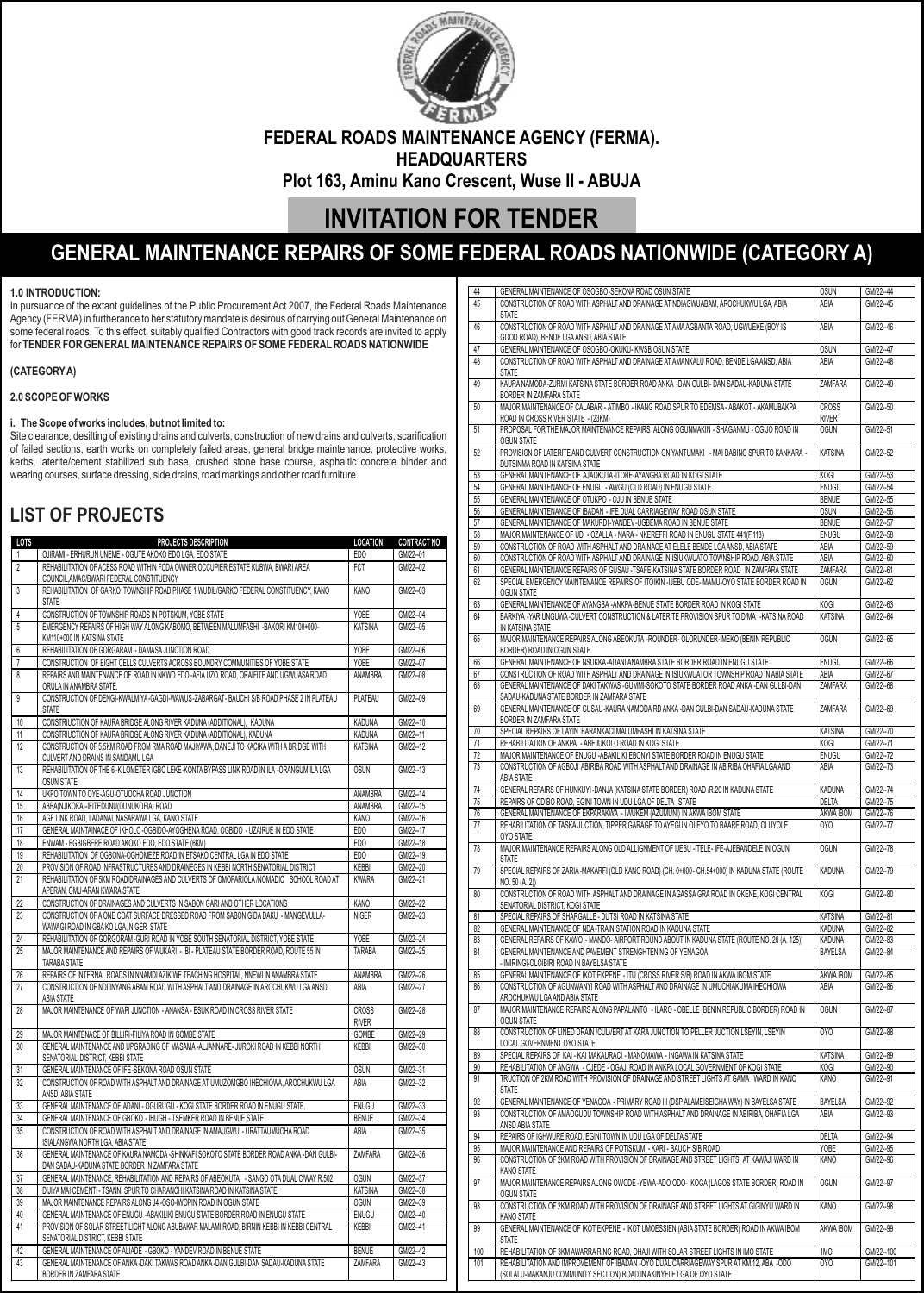

**FEDERAL ROADS MAINTENANCE AGENCY (FERMA). HEADQUARTERS**

**Plot 163, Aminu Kano Crescent, Wuse II - ABUJA**

# **INVITATION FOR TENDER**

# **GENERAL MAINTENANCE REPAIRS OF SOME FEDERAL ROADS NATIONWIDE (CATEGORY A)**

### **1.0 INTRODUCTION:**

In pursuance of the extant guidelines of the Public Procurement Act 2007, the Federal Roads Maintenance Agency (FERMA) in furtherance to her statutory mandate is desirous of carrying out General Maintenance on some federal roads. To this effect, suitably qualified Contractors with good track records are invited to apply for **TENDER FOR GENERALMAINTENANCE REPAIRS OF SOME FEDERALROADS NATIONWIDE** 

### **(CATEGORYA)**

### **2.0 SCOPE OF WORKS**

#### **i. The Scope of works includes, but not limited to:**

Site clearance, desilting of existing drains and culverts, construction of new drains and culverts, scarification of failed sections, earth works on completely failed areas, general bridge maintenance, protective works, kerbs, laterite/cement stabilized sub base, crushed stone base course, asphaltic concrete binder and wearing courses, surface dressing, side drains, road markings and other road furniture.

## **LIST OF PROJECTS**

| LOTS           | <b>PROJECTS DESCRIPTION</b>                                                                                                                                                   | <b>LOCATION</b>       | <b>CONTRACT NO</b> |
|----------------|-------------------------------------------------------------------------------------------------------------------------------------------------------------------------------|-----------------------|--------------------|
| $\mathbf{1}$   | OJIRAMI - ERHURUN UNEME - OGUTE AKOKO EDO LGA, EDO STATE                                                                                                                      | EDO                   | GM/22--01          |
| $\overline{2}$ | REHABILITATION OF ACESS ROAD WITHIN FCDA OWNER OCCUPIER ESTATE KUBWA, BWARI AREA<br>COUNCIL, AMAC/BWARI FEDERAL CONSTITUENCY                                                  | <b>FCT</b>            | GM/22--02          |
| 3              | REHABILITATION OF GARKO TOWNSHIP ROAD PHASE 1, WUDIL/GARKO FEDERAL CONSTITUENCY, KANO<br><b>STATE</b>                                                                         | <b>KANO</b>           | GM/22--03          |
| 4              | CONSTRUCTION OF TOWNSHIP ROADS IN POTSKUM, YOBE STATE                                                                                                                         | <b>YOBE</b>           | GM/22--04          |
| 5              | EMERGENCY REPAIRS OF HIGH WAY ALONG KABOMO, BETWEEN MALUMFASHI -BAKORI KM100+000-<br>KM110+000 IN KATSINA STATE                                                               | <b>KATSINA</b>        | GM/22--05          |
| 6              | REHABILITATION OF GORGARAM - DAMASA JUNCTION ROAD                                                                                                                             | <b>YOBE</b>           | GM/22--06          |
| $\overline{1}$ | CONSTRUCTION OF EIGHT CELLS CULVERTS ACROSS BOUNDRY COMMUNITIES OF YOBE STATE                                                                                                 | YOBE                  | GM/22--07          |
| 8              | REPAIRS AND MAINTENANCE OF ROAD IN NKWO EDO - AFIA UZO ROAD, ORAIFITE AND UGWUASA ROAD<br>ORULA IN ANAMBRA STATE.                                                             | ANAMBRA               | GM/22--08          |
| 9              | CONSTRUCTION OF DENGI-KWALMIYA-GAGDI-WAWUS-ZABARGAT- BAUCHI S/B ROAD PHASE 2 IN PLATEAU<br><b>STATE</b>                                                                       | PLATEAU               | GM/22--09          |
| 10             | CONSTRIUCTION OF KAURA BRIDGE ALONG RIVER KADUNA (ADDITIONAL), KADUNA                                                                                                         | <b>KADUNA</b>         | GM/22--10          |
| 11             | CONSTRIUCTION OF KAURA BRIDGE ALONG RIVER KADUNA (ADDITIONAL), KADUNA                                                                                                         | <b>KADUNA</b>         | GM/22--11          |
| 12             | CONSTRUCTION OF 5.5KM ROAD FROM RMA ROAD MAJIYAWA, DANEJI TO KACIKA WITH A BRIDGE WITH<br>CULVERT AND DRAINS IN SANDAMU LGA                                                   | <b>KATSINA</b>        | GM/22--12          |
| 13             | REHABILITATION OF THE 6-KILOMETER IGBO LEKE-KONTA BYPASS LINK ROAD IN ILA -ORANGUM ILA LGA<br><b>OSUN STATE</b>                                                               | <b>OSUN</b>           | GM/22--13          |
| 14             | UKPO TOWN TO OYE-AGU-OTUOCHA ROAD JUNCTION                                                                                                                                    | ANAMBRA               | GM/22--14          |
| 15             | ABBA(NJIKOKA)-IFITEDUNU(DUNUKOFIA) ROAD                                                                                                                                       | ANAMBRA               | GM/22--15          |
| 16             | AGF LINK ROAD, LADANAI, NASARAWA LGA, KANO STATE                                                                                                                              | <b>KANO</b>           | GM/22--16          |
| 17             | GENERAL MAINTAINACE OF IKHOLO-OGBIDO-AYOGHENA ROAD, OGBIDO - UZAIRUE IN EDO STATE                                                                                             | EDO                   | GM/22--17          |
| 18             | ENWAM - EGBIGBERE ROAD AKOKO EDO, EDO STATE (6KM)<br>REHABILITATION OF OGBONA-OGHOMEZE ROAD IN ETSAKO CENTRAL LGA IN EDO STATE                                                | EDO                   | GM/22--18          |
| 19             |                                                                                                                                                                               | EDO                   | GM/22--19          |
| 20<br>21       | PROVISION OF ROAD INFRASTRUCTURES AND DRAINEGES IN KEBBI NORTH SENATORIAL DISTRICT<br>REHABILITATION OF 5KM ROAD/DRAINAGES AND CULVERTS OF OMOPARIOLA /NOMADIC SCHOOL ROAD AT | <b>KEBBI</b>          | GM/22--20          |
|                | APERAN, OMU-ARAN KWARA STATE                                                                                                                                                  | <b>KWARA</b>          | GM/22--21          |
| 22             | CONSTRUCTION OF DRAINAGES AND CULVERTS IN SABON GARI AND OTHER LOCATIONS                                                                                                      | KANO                  | GM/22--22          |
| 23             | CONSTRUCTION OF A ONE COAT SURFACE DRESSED ROAD FROM SABON GIDA DAKU - MANGEVULLA-<br>WAWAGI ROAD IN GBAKO LGA, NIGER STATE                                                   | <b>NIGER</b>          | GM/22--23          |
| 24             | REHABILITATION OF GORGORAM-GURI ROAD IN YOBE SOUTH SENATORIAL DISTRICT, YOBE STATE                                                                                            | <b>YOBE</b>           | GM/22--24          |
| 25             | MAJOR MAINTENANCE AND REPAIRS OF WUKARI - IBI - PLATEAU STATE BORDER ROAD, ROUTE 55 IN<br>TARABA STATE                                                                        | TARABA                | GM/22--25          |
| 26             | REPAIRS OF INTERNAL ROADS IN NNAMDI AZIKIWE TEACHING HOSPITAL, NNEWI IN ANAMBRA STATE                                                                                         | ANAMBRA               | GM/22--26          |
| 27             | CONSTRUCTION OF NDI INYANG ABAM ROAD WITH ASPHALT AND DRAINAGE IN AROCHUKWU LGA ANSD,<br>ABIA STATE                                                                           | ABIA                  | GM/22--27          |
| 28             | MAJOR MAINTENANCE OF WAPI JUNCTION - ANANSA - ESUK ROAD IN CROSS RIVER STATE                                                                                                  | CROSS<br><b>RIVER</b> | GM/22--28          |
| 29             | MAJOR MAINTENACE OF BILLIRI-FILIYA ROAD IN GOMBE STATE                                                                                                                        | GOMBE                 | GM/22--29          |
| 30             | GENERAL MAINTENANCE AND UPGRADING OF MASAMA -ALJANNARE- JUROKI ROAD IN KEBBI NORTH<br>SENATORIAL DISTRICT, KEBBI STATE                                                        | KEBBI                 | GM/22--30          |
| 31             | GENERAL MAINTENANCE OF IFE-SEKONA ROAD OSUN STATE                                                                                                                             | <b>OSUN</b>           | GM/22--31          |
| 32             | CONSTRUCTION OF ROAD WITH ASPHALT AND DRAINAGE AT UMUZOMGBO IHECHIOWA, AROCHUKWU LGA<br>ANSD, ABIA STATE                                                                      | ABIA                  | GM/22--32          |
| 33             | GENERAL MAINTENANCE OF ADANI - OGURUGU - KOGI STATE BORDER ROAD IN ENUGU STATE.                                                                                               | <b>ENUGU</b>          | GM/22--33          |
| 34             | GENERAL MAINTENANCE OF GBOKO - IHUGH - TSEMKER ROAD IN BENUE STATE                                                                                                            | <b>BENUE</b>          | GM/22--34          |
| 35             | CONSTRUCTION OF ROAD WITH ASPHALT AND DRAINAGE IN AMAUGWU - URATTAUMUOHA ROAD<br>ISIALANGWA NORTH LGA, ABIA STATE                                                             | ABIA                  | GM/22--35          |
| 36             | GENERAL MAINTENANCE OF KAURA NAMODA - SHINKAFI SOKOTO STATE BORDER ROAD ANKA - DAN GULBI-<br>DAN SADAU-KADUNA STATE BORDER IN ZAMFARA STATE                                   | ZAMFARA               | GM/22--36          |
| 37             | GENERAL MAINTENANCE, REHABILITATION AND REPAIRS OF ABEOKUTA - SANGO OTA DUAL C/WAY R.502                                                                                      | <b>OGUN</b>           | GM/22--37          |
| 38             | DIJIYA MAI CEMENTI - TSANNI SPUR TO CHARANCHI KATSINA ROAD IN KATSINA STATE                                                                                                   | <b>KATSINA</b>        | GM/22--38          |
| 39             | MAJOR MAINTENANCE REPAIRS ALONG J4 - OSO-IWOPIN ROAD IN OGUN STATE                                                                                                            | <b>OGUN</b>           | GM/22--39          |
| 40             | GENERAL MAINTENANCE OF ENUGU - ABAKILIKI ENUGU STATE BORDER ROAD IN ENUGU STATE                                                                                               | ENUGU                 | GM/22--40          |
| 41             | PROVISION OF SOLAR STREET LIGHT ALONG ABUBAKAR MALAMI ROAD, BIRNIN KEBBI IN KEBBI CENTRAL<br>SENATORIAL DISTRICT, KEBBI STATE                                                 | KEBBI                 | GM/22--41          |
| 42             | GENERAL MAINTENANCE OF ALIADE - GBOKO - YANDEV ROAD IN BENUE STATE                                                                                                            | <b>BENUE</b>          | GM/22--42          |
| 43             | GENERAL MAINTENANCE OF ANKA -DAKI TAKWAS ROAD ANKA -DAN GULBI-DAN SADAU-KADUNA STATE<br>BORDER IN ZAMFARA STATE                                                               | ZAMFARA               | GM/22-43           |

| 44             | GENERAL MAINTENANCE OF OSOGBO-SEKONA ROAD OSUN STATE                                                                                                           | <b>OSUN</b>    | GM/22--44  |
|----------------|----------------------------------------------------------------------------------------------------------------------------------------------------------------|----------------|------------|
|                |                                                                                                                                                                |                |            |
| 45             | CONSTRUCTION OF ROAD WITH ASPHALT AND DRAINAGE AT NDIAGWUABAM, AROCHUKWU LGA, ABIA                                                                             | ABIA           | GM/22--45  |
|                | <b>STATE</b>                                                                                                                                                   |                |            |
| 46             | CONSTRUCTION OF ROAD WITH ASPHALT AND DRAINAGE AT AMA AGBANTA ROAD, UGWUEKE (BOY IS                                                                            | ABIA           | GM/22--46  |
|                | GOOD ROAD), BENDE LGA ANSD, ABIA STATE                                                                                                                         |                |            |
|                |                                                                                                                                                                |                |            |
| 47             | GENERAL MAINTENANCE OF OSOGBO-OKUKU- KWSB OSUN STATE                                                                                                           | <b>OSUN</b>    | GM/22--47  |
| 48             | CONSTRUCTION OF ROAD WITH ASPHALT AND DRAINAGE AT AMANKALU ROAD, BENDE LGA ANSD, ABIA                                                                          | ABIA           | GM/22--48  |
|                | <b>STATE</b>                                                                                                                                                   |                |            |
| 49             | KAURA NAMODA-ZURMI KATSINA STATE BORDER ROAD ANKA -DAN GULBI- DAN SADAU-KADUNA STATE                                                                           | <b>ZAMFARA</b> | GM/22--49  |
|                |                                                                                                                                                                |                |            |
|                | BORDER IN ZAMFARA STATE                                                                                                                                        |                |            |
| 50             | MAJOR MAINTENANCE OF CALABAR - ATIMBO - IKANG ROAD SPUR TO EDEMSA - ABAKOT - AKAMUBAKPA                                                                        | <b>CROSS</b>   | GM/22--50  |
|                | ROAD IN CROSS RIVER STATE - (23KM)                                                                                                                             | <b>RIVER</b>   |            |
|                | PROPOSAL FOR THE MAJOR MAINTENANCE REPAIRS ALONG OGUNMAKIN - SHAGANMU - OGIJO ROAD IN                                                                          |                |            |
| 51             |                                                                                                                                                                | <b>OGUN</b>    | GM/22--51  |
|                | <b>OGUN STATE</b>                                                                                                                                              |                |            |
| 52             | PROVISION OF LATERITE AND CULVERT CONSTRUCTION ON YANTUMAKI - MAI DABINO SPUR TO KANKARA -                                                                     | <b>KATSINA</b> | GM/22--52  |
|                | DUTSINMA ROAD IN KATSINA STATE                                                                                                                                 |                |            |
|                |                                                                                                                                                                |                |            |
| 53             | GENERAL MAINTENANCE OF AJAOKUTA-ITOBE-AYANGBA ROAD IN KOGI STATE                                                                                               | <b>KOGI</b>    | GM/22--53  |
| 54             | GENERAL MAINTENANCE OF ENUGU - AWGU (OLD ROAD) IN ENUGU STATE.                                                                                                 | <b>ENUGU</b>   | GM/22--54  |
| 55             | GENERAL MAINTENANCE OF OTUKPO - OJU IN BENUE STATE                                                                                                             | <b>BENUE</b>   | GM/22--55  |
|                |                                                                                                                                                                |                |            |
| 56             | GENERAL MAINTENANCE OF IBADAN - IFE DUAL CARRIAGEWAY ROAD OSUN STATE                                                                                           | <b>OSUN</b>    | GM/22--56  |
| 57             | GENERAL MAINTENANCE OF MAKURDI-YANDEV-UGBEMA ROAD IN BENUE STATE                                                                                               | <b>BENUE</b>   | GM/22--57  |
| 58             | MAJOR MAINTENANCE OF UDI - OZALLA - NARA - NKEREFFI ROAD IN ENUGU STATE 441(F.113)                                                                             | <b>ENUGU</b>   | GM/22--58  |
| 59             | CONSTRUCTION OF ROAD WITH ASPHALT AND DRAINAGE AT ELELE BENDE LGA ANSD, ABIA STATE                                                                             | ABIA           | GM/22--59  |
|                |                                                                                                                                                                |                |            |
| 60             | CONSTRUCTION OF ROAD WITH ASPHALT AND DRAINAGE IN ISIUKWUATO TOWNSHIP ROAD, ABIA STATE                                                                         | ABIA           | GM/22--60  |
| 61             | GENERAL MAINTENANCE REPAIRS OF GUSAU -TSAFE-KATSINA STATE BORDER ROAD IN ZAMFARA STATE                                                                         | ZAMFARA        | GM/22--61  |
| 62             | SPECIAL EMERGENCY MAINTENANCE REPAIRS OF ITOIKIN -IJEBU ODE- MAMU-OYO STATE BORDER ROAD IN                                                                     | <b>OGUN</b>    | GM/22--62  |
|                |                                                                                                                                                                |                |            |
|                | <b>OGUN STATE</b>                                                                                                                                              |                |            |
| 63             | GENERAL MAINTENANCE OF AYANGBA -ANKPA-BENUE STATE BORDER ROAD IN KOGI STATE                                                                                    | KOGI           | GM/22--63  |
| 64             | BARKIYA - YAR UNGUWA-CULVERT CONSTRUCTION & LATERITE PROVISION SPUR TO D/MA - KATSINA ROAD                                                                     | <b>KATSINA</b> | GM/22--64  |
|                | IN KATSINA STATE                                                                                                                                               |                |            |
|                |                                                                                                                                                                |                |            |
| 65             | MAJOR MAINTENANCE REPAIRS ALONG ABEOKUTA - ROUNDER- OLORUNDER-IMEKO (BENIN REPUBLIC                                                                            | <b>OGUN</b>    | GM/22--65  |
|                | BORDER) ROAD IN OGUN STATE                                                                                                                                     |                |            |
| 66             | GENERAL MAINTENANCE OF NSUKKA-ADANI ANAMBRA STATE BORDER ROAD IN ENUGU STATE                                                                                   | <b>ENUGU</b>   | GM/22--66  |
|                |                                                                                                                                                                |                |            |
| 67             | CONSTRUCTION OF ROAD WITH ASPHALT AND DRAINAGE IN ISIUKWUATOR TOWNSHIP ROAD IN ABIA STATE                                                                      | ABIA           | GM/22--67  |
| 68             | GENERAL MAINTENANCE OF DAKI TAKWAS - GUMMI-SOKOTO STATE BORDER ROAD ANKA - DAN GULBI-DAN                                                                       | ZAMFARA        | GM/22--68  |
|                | SADAU-KADUNA STATE BORDER IN ZAMFARA STATE                                                                                                                     |                |            |
| 69             | GENERAL MAINTENANCE OF GUSAU-KAURA NAMODA RD ANKA -DAN GULBI-DAN SADAU-KADUNA STATE                                                                            | ZAMFARA        | GM/22--69  |
|                |                                                                                                                                                                |                |            |
|                | BORDER IN ZAMFARA STATE                                                                                                                                        |                |            |
| 70             | SPECIAL REPAIRS OF LAYIN BARANKACI MALUMFASHI IN KATSINA STATE                                                                                                 | <b>KATSINA</b> | GM/22--70  |
| 71             | REHABILITATION OF ANKPA - ABEJUKOLO ROAD IN KOGI STATE                                                                                                         | KOGI           | GM/22--71  |
|                |                                                                                                                                                                |                |            |
| 72             | MAJOR MAINTENANCE OF ENUGU - ABAKILIKI EBONYI STATE BORDER ROAD IN ENUGU STATE                                                                                 | <b>ENUGU</b>   | GM/22--72  |
| 73             | CONSTRUCTION OF AGBOJI ABIRIBA ROAD WITH ASPHALT AND DRAINAGE IN ABIRIBA OHAFIA LGA AND                                                                        | ABIA           | GM/22--73  |
|                | ABIA STATE                                                                                                                                                     |                |            |
|                |                                                                                                                                                                |                |            |
|                |                                                                                                                                                                |                |            |
| 74             | GENERAL REPAIRS OF HUNKUYI-DANJA (KATSINA STATE BORDER) ROAD /R.20 IN KADUNA STATE                                                                             | KADUNA         | GM/22--74  |
| 75             | REPAIRS OF ODIBO ROAD, EGINI TOWN IN UDU LGA OF DELTA STATE                                                                                                    | <b>DELTA</b>   | GM/22--75  |
| 76             | GENERAL MAINTENANCE OF EKPARAKWA - IWUKEM (AZUMUNI) IN AKWA IBOM STATE                                                                                         | AKWA IBOM      | GM/22--76  |
|                |                                                                                                                                                                |                |            |
|                | REHABILITATION OF TASKA JUCTION, TIPPER GARAGE TO AYEGUN OLEYO TO BAARE ROAD, OLUYOLE,                                                                         | 0YO            | GM/22--77  |
| 77             | OYO STATE                                                                                                                                                      |                |            |
| 78             | MAJOR MAINTENANCE REPAIRS ALONG OLD ALLIGNMENT OF IJEBU -ITELE- IFE-AJEBANDELE IN OGUN                                                                         | <b>OGUN</b>    | GM/22--78  |
|                | <b>STATE</b>                                                                                                                                                   |                |            |
|                |                                                                                                                                                                |                |            |
|                | SPECIAL REPAIRS OF ZARIA-MAKARFI (OLD KANO ROAD) (CH. 0+000 - CH.54+000) IN KADUNA STATE (ROUTE                                                                | <b>KADUNA</b>  | GM/22--79  |
| 79             | NO. 50 (A. 2))                                                                                                                                                 |                |            |
| 80             | CONSTRUCTION OF ROAD WITH ASPHALT AND DRAINAGE IN AGASSA GRA ROAD IN OKENE, KOGI CENTRAL                                                                       | KOGI           | GM/22--80  |
|                | SENATORIAL DISTRICT. KOGI STATE                                                                                                                                |                |            |
|                |                                                                                                                                                                |                |            |
| 81             | SPECIAL REPAIRS OF SHARGALLE - DUTSI ROAD IN KATSINA STATE                                                                                                     | <b>KATSINA</b> | GM/22--81  |
| 82             | GENERAL MAINTENANCE OF NDA-TRAIN STATION ROAD IN KADUNA STATE                                                                                                  | <b>KADUNA</b>  | GM/22--82  |
| 83             | GENERAL REPAIRS OF KAWO - MANDO- AIRPORT ROUND ABOUT IN KADUNA STATE (ROUTE NO. 20 (A. 125))                                                                   | KADUNA         | GM/22--83  |
| 84             |                                                                                                                                                                |                |            |
|                | GENERAL MAINTENANCE AND PAVEMENT STRENGHTENING OF YENAGOA                                                                                                      | BAYELSA        | GM/22--84  |
|                | - IMIRINGI-OLOIBIRI ROAD IN BAYELSA STATE                                                                                                                      |                |            |
| 85             | GENERAL MAINTENANCE OF IKOT EKPENE - ITU (CROSS RIVER S/B) ROAD IN AKWA IBOM STATE                                                                             | AKWA IBOM      | GM/22--85  |
| 86             | CONSTRUCTION OF AGUNWANYI ROAD WITH ASPHALT AND DRAINAGE IN UMUCHIAKUMA IHECHIOWA                                                                              | abia           | GM/22--86  |
|                |                                                                                                                                                                |                |            |
|                | AROCHUKWU LGA AND ABIA STATE                                                                                                                                   |                |            |
| 87             | MAJOR MAINTENANCE REPAIRS ALONG PAPALANTO - ILARO - OBELLE (BENIN REPUBLIC BORDER) ROAD IN                                                                     | <b>OGUN</b>    | GM/22--87  |
|                | <b>OGUN STATE</b>                                                                                                                                              |                |            |
| 88             | CONSTRUCTION OF LINED DRAIN /CULVERT AT KARA JUNCTION TO PELLER JUCTION LSEYIN, LSEYIN                                                                         | 0YO            | GM/22--88  |
|                |                                                                                                                                                                |                |            |
|                | LOCAL GOVERNMENT OYO STATE                                                                                                                                     |                |            |
| 89             | SPECIAL REPAIRS OF KAI - KAI MAKAURACI - MANOMAWA - INGAWA IN KATSINA STATE                                                                                    | <b>KATSINA</b> | GM/22--89  |
| 90             | REHABILITATION OF ANGWA - OJEDE - OGAJI ROAD IN ANKPA LOCAL GOVERNMENT OF KOGI STATE                                                                           | KOGI           | GM/22--90  |
| 91             | TRUCTION OF 2KM ROAD WITH PROVISION OF DRAINAGE AND STREET LIGHTS AT GAMA WARD IN KANO                                                                         | KANO           | GM/22--91  |
|                |                                                                                                                                                                |                |            |
|                | <b>STATE</b>                                                                                                                                                   |                |            |
| 92             | GENERAL MAINTENANCE OF YENAGOA - PRIMARY ROAD III (DSP ALAMEISEIGHA WAY) IN BAYELSA STATE                                                                      | BAYELSA        | GM/22--92  |
| 93             | CONSTRUCTION OF AMAOGUDU TOWNSHIP ROAD WITH ASPHALT AND DRAINAGE IN ABIRIBA, OHAFIA LGA                                                                        | abia           | GM/22--93  |
|                |                                                                                                                                                                |                |            |
|                | ANSD ABIA STATE                                                                                                                                                |                |            |
| 94             | REPAIRS OF IGHWURE ROAD, EGINI TOWN IN UDU LGA OF DELTA STATE                                                                                                  | DELTA          | GM/22--94  |
| 95             | MAJOR MAINTENANCE AND REPAIRS OF POTISKUM - KARI - BAUCH S/B ROAD                                                                                              | <b>YOBE</b>    | GM/22--95  |
|                |                                                                                                                                                                |                |            |
|                | CONSTRUCTION OF 2KM ROAD WITH PROVISION OF DRAINAGE AND STREET LIGHTS AT KAWAJI WARD IN                                                                        | <b>KANO</b>    | GM/22--96  |
|                | KANO STATE                                                                                                                                                     |                |            |
|                | MAJOR MAINTENANCE REPAIRS ALONG OWODE - YEWA-ADO ODO- IKOGA (LAGOS STATE BORDER) ROAD IN                                                                       | <b>OGUN</b>    | GM/22--97  |
|                | <b>OGUN STATE</b>                                                                                                                                              |                |            |
|                |                                                                                                                                                                |                |            |
| 96<br>97<br>98 | CONSTRUCTION OF 2KM ROAD WITH PROVISION OF DRAINAGE AND STREET LIGHTS AT GIGINYU WARD IN                                                                       | KANO           | GM/22--98  |
|                | KANO STATE                                                                                                                                                     |                |            |
| 99             | GENERAL MAINTENANCE OF IKOT EKPENE - IKOT UMOESSIEN (ABIA STATE BORDER) ROAD IN AKWA IBOM                                                                      | AKWA IBOM      | GM/22--99  |
|                | <b>STATE</b>                                                                                                                                                   |                |            |
|                |                                                                                                                                                                |                |            |
| 100            | REHABILITATION OF 3KM AWARRA RING ROAD, OHAJI WITH SOLAR STREET LIGHTS IN IMO STATE                                                                            | 1MO            | GM/22--100 |
| 101            | REHABILITATION AND IMPROVEMENT OF IBADAN -OYO DUAL CARRIAGEWAY SPUR AT KM.12, ABA -ODO<br>(SOLALU-MAKANJU COMMUNITY SECTION) ROAD IN AKINYELE LGA OF OYO STATE | 0YO            | GM/22--101 |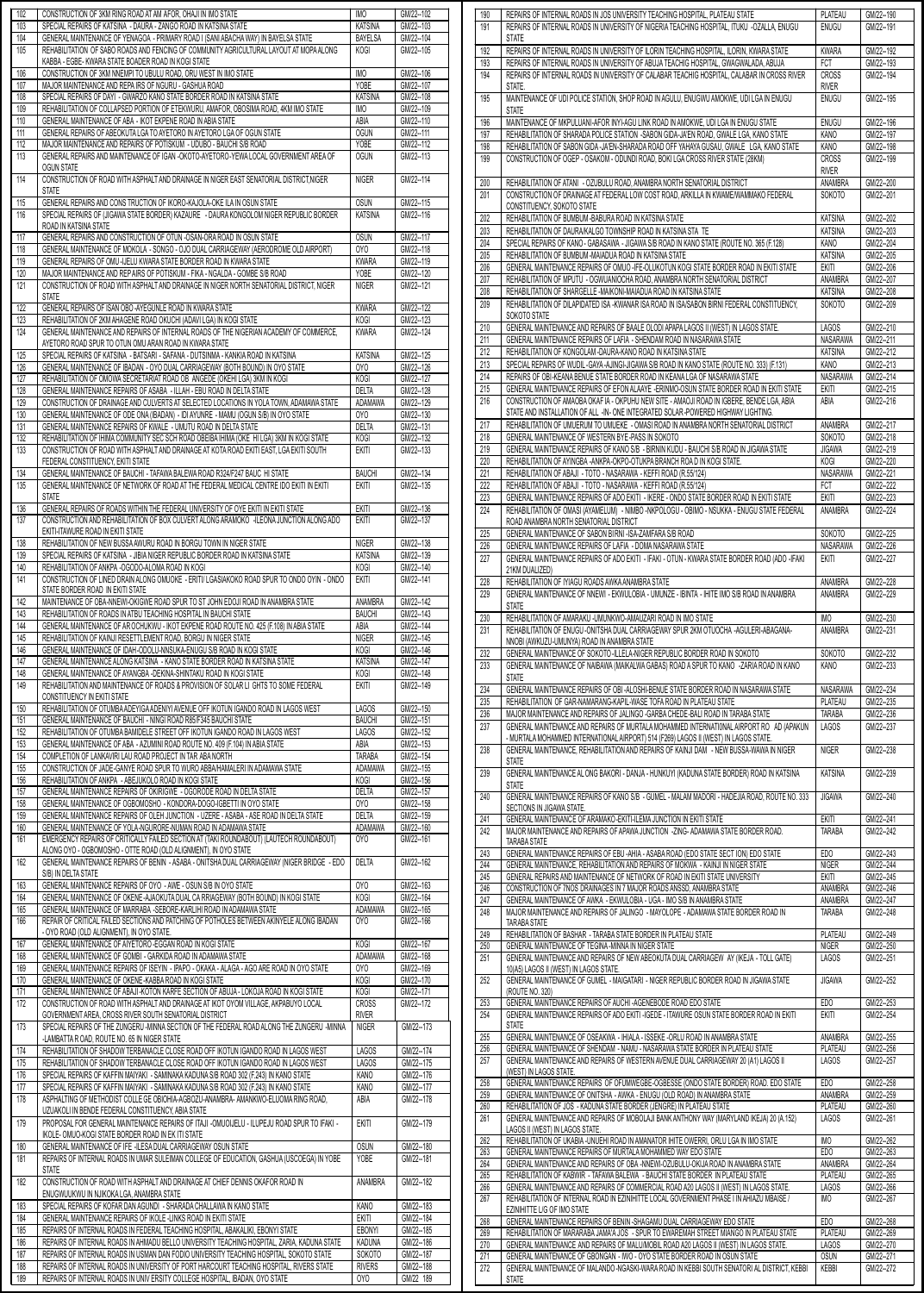| 103        | CONSTRUCTION OF 3KM RING ROAD AT AM AFOR, OHAJI IN IMO STATE<br>SPECIAL REPAIRS OF KATSINA - DAURA - ZANGO ROAD IN KATSINA STATE                                               | IMO<br><b>KATSINA</b>        | GM/22--102<br>GM/22--103 |
|------------|--------------------------------------------------------------------------------------------------------------------------------------------------------------------------------|------------------------------|--------------------------|
| 104        | GENERAL MAINTENANCE OF YENAGOA - PRIMARY ROAD I (SANI ABACHA WAY) IN BAYELSA STATE                                                                                             | BAYELSA                      | GM/22--104               |
| 105        | REHABILITATION OF SABO ROADS AND FENCING OF COMMUNITY AGRICULTURAL LAYOUT AT MOPA ALONG                                                                                        | KOGI                         | GM/22--105               |
|            | KABBA - EGBE- KWARA STATE BOADER ROAD IN KOGI STATE                                                                                                                            |                              |                          |
| 106        | CONSTRUCTION OF 3KM NNEMPI TO UBULU ROAD, ORU WEST IN IMO STATE                                                                                                                | IMO                          | GM/22--106               |
| 107        | MAJOR MAINTENANCE AND REPAIRS OF NGURU - GASHUA ROAD                                                                                                                           | YOBE                         | GM/22--107               |
| 108<br>109 | SPECIAL REPAIRS OF DAYI - GWARZO KANO STATE BORDER ROAD IN KATSINA STATE<br>REHABILITATION OF COLLAPSED PORTION OF ETEKWURU, AMAFOR, OBOSIMA ROAD, 4KM IMO STATE               | <b>KATSINA</b><br><b>IMO</b> | GM/22--108<br>GM/22--109 |
| 110        | GENERAL MAINTENANCE OF ABA - IKOT EKPENE ROAD IN ABIA STATE                                                                                                                    | ABIA                         | GM/22--110               |
| 111        | GENERAL REPAIRS OF ABEOKUTA LGA TO AYETORO IN AYETORO LGA OF OGUN STATE                                                                                                        | <b>OGUN</b>                  | GM/22--111               |
| 112        | MAJOR MAINTENANCE AND REPAIRS OF POTISKUM - UDUBO - BAUCHI S/B ROAD                                                                                                            | YOBE                         | GM/22--112               |
| 113        | GENERAL REPAIRS AND MAINTENANCE OF IGAN -OKOTO-AYETORO-YEWA LOCAL GOVERNMENT AREA OF                                                                                           | <b>OGUN</b>                  | GM/22--113               |
| 114        | <b>OGUN STATE</b><br>CONSTRUCTION OF ROAD WITH ASPHALT AND DRAINAGE IN NIGER EAST SENATORIAL DISTRICT, NIGER                                                                   | <b>NIGER</b>                 | GM/22--114               |
|            | <b>STATE</b>                                                                                                                                                                   |                              |                          |
| 115        | GENERAL REPAIRS AND CONS TRUCTION OF IKORO-KAJOLA-OKE ILA IN OSUN STATE                                                                                                        | <b>OSUN</b>                  | GM/22--115               |
| 116        | SPECIAL REPAIRS OF (JIGAWA STATE BORDER) KAZAURE - DAURA KONGOLOM NIGER REPUBLIC BORDER                                                                                        | <b>KATSINA</b>               | GM/22--116               |
|            | ROAD IN KATSINA STATE                                                                                                                                                          |                              |                          |
| 117        | GENERAL REPAIRS AND CONSTRUCTION OF OTUN -OSAN-ORA ROAD IN OSUN STATE                                                                                                          | <b>OSUN</b>                  | GM/22--117               |
| 118<br>119 | GENERAL MAINTENANCE OF MOKOLA - SONGO - OJO DUAL CARRIAGEWAY (AERODROME OLD AIRPORT)<br>GENERAL REPAIRS OF OMU-IJELU KWARA STATE BORDER ROAD IN KWARA STATE                    | OYO<br><b>KWARA</b>          | GM/22--118<br>GM/22--119 |
| 120        | MAJOR MAINTENANCE AND REP AIRS OF POTISKUM - FIKA - NGALDA - GOMBE S/B ROAD                                                                                                    | YOBE                         | GM/22--120               |
| 121        | CONSTRUCTION OF ROAD WITH ASPHALT AND DRAINAGE IN NIGER NORTH SENATORIAL DISTRICT. NIGER                                                                                       | <b>NIGER</b>                 | GM/22--121               |
|            | <b>STATE</b>                                                                                                                                                                   |                              |                          |
| 122        | GENERAL REPAIRS OF ISAN OBO-AYEGUNLE ROAD IN KWARA STATE                                                                                                                       | <b>KWARA</b>                 | GM/22--122               |
| 123        | REHABILITATION OF 2KM AHAGENE ROAD OKUCHI (ADAVI LGA) IN KOGI STATE                                                                                                            | <b>KOGI</b>                  | GM/22--123<br>GM/22--124 |
| 124        | GENERAL MAINTENANCE AND REPAIRS OF INTERNAL ROADS OF THE NIGERIAN ACADEMY OF COMMERCE,<br>AYETORO ROAD SPUR TO OTUN OMU ARAN ROAD IN KWARA STATE                               | <b>KWARA</b>                 |                          |
| 125        | SPECIAL REPAIRS OF KATSINA - BATSARI - SAFANA - DUTSINMA - KANKIA ROAD IN KATSINA                                                                                              | KATSINA                      | GM/22--125               |
| 126        | GENERAL MAINTENANCE OF IBADAN - OYO DUAL CARRIAGEWAY (BOTH BOUND) IN OYO STATE                                                                                                 | 0YO                          | GM/22--126               |
| 127        | REHABILITATION OF OMOWA SECRETARIAT ROAD OB ANGEDE (OKEHI LGA) 3KM IN KOGI                                                                                                     | KOGI                         | GM/22--127               |
| 128        | GENERAL MAINTENANCE REPAIRS OF ASABA - ILLAH - EBU ROAD IN DELTA STATE                                                                                                         | <b>DELTA</b>                 | GM/22-128                |
| 129<br>130 | CONSTRUCTION OF DRAINAGE AND CULVERTS AT SELECTED LOCATIONS IN YOLA TOWN, ADAMAWA STATE<br>GENERAL MAINTENANCE OF ODE ONA (IBADAN) - IDI AYUNRE - MAMU (OGUN S/B) IN OYO STATE | ADAMAWA<br>OYO               | GM/22--129<br>GM/22--130 |
| 131        | GENERAL MAINTENANCE REPAIRS OF KWALE - UMUTU ROAD IN DELTA STATE                                                                                                               | <b>DELTA</b>                 | GM/22--131               |
| 132        | REHABILITATION OF IHIMA COMMUNITY SEC SCH ROAD OBEIBA IHIMA (OKE HI LGA) 3KM IN KOGI STATE                                                                                     | KOGI                         | GM/22--132               |
| 133        | CONSTRUCTION OF ROAD WITH ASPHALT AND DRAINAGE AT KOTA ROAD EKITI EAST, LGA EKITI SOUTH                                                                                        | EKITI                        | GM/22--133               |
|            | FEDERAL CONSTITUENCY, EKITI STATE                                                                                                                                              |                              |                          |
| 134        | GENERAL MAINTENANCE OF BAUCHI - TAFAWA BALEWA ROAD R324/F247 BAUC HI STATE                                                                                                     | <b>BAUCHI</b>                | GM/22--134               |
| 135        | GENERAL MAINTENANCE OF NETWORK OF ROAD AT THE FEDERAL MEDICAL CENTRE IDO EKITI IN EKITI<br><b>STATE</b>                                                                        | <b>EKITI</b>                 | GM/22--135               |
| 136        | GENERAL REPAIRS OF ROADS WITHIN THE FEDERAL UNIVERSITY OF OYE EKITI IN EKITI STATE                                                                                             | <b>EKITI</b>                 | GM/22--136               |
| 137        | CONSTRUCTION AND REHABILITATION OF BOX CULVERT ALONG ARAMOKO -ILEONA JUNCTION ALONG ADO                                                                                        | EKITI                        | GM/22--137               |
|            | EKITI-ITAWURE ROAD IN EKITI STATE                                                                                                                                              |                              |                          |
| 138        | REHABILITATION OF NEW BUSSA AWURU ROAD IN BORGU TOWN IN NIGER STATE                                                                                                            | <b>NIGER</b>                 | GM/22--138               |
| 139        | SPECIAL REPAIRS OF KATSINA - JIBIA NIGER REPUBLIC BORDER ROAD IN KATSINA STATE                                                                                                 | KATSINA                      | GM/22--139               |
| 140<br>141 | REHABILITATION OF ANKPA -OGODO-ALOMA ROAD IN KOGI<br>CONSTRUCTION OF LINED DRAIN ALONG OMUOKE - ERITI/ LGASIAKOKO ROAD SPUR TO ONDO OYIN - ONDO                                | KOGI<br><b>EKITI</b>         | GM/22--140<br>GM/22--141 |
|            | STATE BORDER ROAD IN EKITI STATE                                                                                                                                               |                              |                          |
| 142        | MAINTENANCE OF OBA-NNEWI-OKIGWE ROAD SPUR TO ST JOHN EDOJI ROAD IN ANAMBRA STATE                                                                                               | ANAMBRA                      | GM/22--142               |
| 143        | REHABILITATION OF ROADS IN ATBU TEACHING HOSPITAL IN BAUCHI STATE                                                                                                              | <b>BAUCHI</b>                | GM/22--143               |
| 144        | GENERAL MAINTENANCE OF AR OCHUKWU - IKOT EKPENE ROAD ROUTE NO. 425 (F.108) IN ABIA STATE                                                                                       | ABIA                         | GM/22--144               |
| 145        | REHABILITATION OF KAINJI RESETTLEMENT ROAD. BORGU IN NIGER STATE                                                                                                               | <b>NIGER</b>                 | GM/22--145               |
| 146<br>147 | GENERAL MAINTENANCE OF IDAH-ODOLU-NNSUKA-ENUGU S/B ROAD IN KOGI STATE<br>GENERAL MAINTENANCE ALONG KATSINA - KANO STATE BORDER ROAD IN KATSINA STATE                           | KOGI<br><b>KATSINA</b>       | GM/22-146<br>GM/22--147  |
| 148        | GENERAL MAINTENANCE OF AYANGBA -DEKINA-SHINTAKU ROAD IN KOGI STATE                                                                                                             | KOGI                         | GM/22--148               |
| 149        | REHABILITATION AND MAINTENANCE OF ROADS & PROVISION OF SOLAR LI GHTS TO SOME FEDERAL                                                                                           | <b>EKITI</b>                 | GM/22--149               |
|            | CONSTITUENCY IN EKITI STATE                                                                                                                                                    |                              |                          |
| 150        |                                                                                                                                                                                |                              |                          |
|            | REHABILITATION OF OTUMBA ADEYIGA ADENIYI AVENUE OFF IKOTUN IGANDO ROAD IN LAGOS WEST                                                                                           | <b>LAGOS</b>                 | GM/22--150               |
| 151        | GENERAL MAINTENANCE OF BAUCHI - NINGI ROAD R85/F345 BAUCHI STATE                                                                                                               | <b>BAUCHI</b>                | GM/22--151               |
| 152        | REHABILITATION OF OTUMBA BAMIDELE STREET OFF IKOTUN IGANDO ROAD IN LAGOS WEST                                                                                                  | <b>LAGOS</b>                 | GM/22--152               |
| 153        | GENERAL MAINTENANCE OF ABA - AZUMINI ROAD ROUTE NO. 409 (F.104) IN ABIA STATE                                                                                                  | ABIA                         | GM/22--153               |
| 154<br>155 | COMPLETION OF LANKAVIRI LAU ROAD PROJECT IN TAR ABA NORTH<br>CONSTRUCTION OF JADE-GANYE ROAD SPUR TO WURO ABBA/HAMALERI IN ADAMAWA STATE                                       | <b>TARABA</b><br>ADAMAWA     | GM/22--154<br>GM/22--155 |
| 156        | REHABILITATION OF ANKPA - ABEJUKOLO ROAD IN KOGI STATE                                                                                                                         | KOGI                         | GM/22--156               |
| 157        | GENERAL MAINTENANCE REPAIRS OF OKIRIGWE - OGORODE ROAD IN DELTA STATE                                                                                                          | DELTA                        | GM/22--157               |
| 158        | GENERAL MAINTENANCE OF OGBOMOSHO - KONDORA-DOGO-IGBETTI IN OYO STATE                                                                                                           | 0YO                          | GM/22--158               |
| 159        | GENERAL MAINTENANCE REPAIRS OF OLEH JUNCTION - UZERE - ASABA - ASE ROAD IN DELTA STATE                                                                                         | <b>DELTA</b>                 | GM/22--159               |
| 160<br>161 | GENERAL MAINTENANCE OF YOLA-NGURORE-NUMAN ROAD IN ADAMAWA STATE<br>EMERGENCY REPAIRS OF CRITICALLY FAILED SECTION AT (TAKI ROUNDABOUT) (LAUTECH ROUNDABOUT)                    | ADAMAWA<br>0Y <sub>0</sub>   | GM/22--160<br>GM/22--161 |
|            | ALONG OYO - OGBOMOSHO - OTTE ROAD (OLD ALIGNMENT), IN OYO STATE                                                                                                                |                              |                          |
| 162        | GENERAL MAINTENANCE REPAIRS OF BENIN - ASABA - ONITSHA DUAL CARRIAGEWAY (NIGER BRIDGE - EDO                                                                                    | <b>DELTA</b>                 | GM/22--162               |
|            | S/B) IN DELTA STATE                                                                                                                                                            |                              |                          |
| 163        | GENERAL MAINTENANCE REPAIRS OF OYO - AWE - OSUN S/B IN OYO STATE                                                                                                               | OY <sub>0</sub>              | GM/22--163               |
| 164<br>165 | GENERAL MAINTENANCE OF OKENE-AJAOKUTA DUAL CA RRIAGEWAY (BOTH BOUND) IN KOGI STATE<br>GENERAL MAINTENANCE OF MARRABA -SEBORE-KARLIHI ROAD IN ADAMAWA STATE                     | <b>KOGI</b><br>ADAMAWA       | GM/22--164<br>GM/22--165 |
| 166        | REPAIR OF CRITICAL FAILED SECTIONS AND PATCHING OF POTHOLES BETWEEN AKINYELE ALONG IBADAN                                                                                      | 0YO                          | GM/22--166               |
|            | - OYO ROAD (OLD ALIGNMENT), IN OYO STATE.                                                                                                                                      |                              |                          |
| 167        | GENERAL MAINTENANCE OF AIYETORO-EGGAN ROAD IN KOGI STATE                                                                                                                       | KOGI                         | GM/22--167               |
| 168        | GENERAL MAINTENANCE OF GOMBI - GARKIDA ROAD IN ADAMAWA STATE                                                                                                                   | ADAMAWA                      | GM/22--168               |
| 169<br>170 | GENERAL MAINTENANCE REPAIRS OF ISEYIN - IPAPO - OKAKA - ALAGA - AGO ARE ROAD IN OYO STATE<br>GENERAL MAINTENANCE OF OKENE-KABBA ROAD IN KOGI STATE                             | 0YO<br>KOGI                  | GM/22--169<br>GM/22--170 |
| 171        | GENERAL MAINTENANCE OF ABAJI-KOTON KARFE SECTION OF ABUJA - LOKOJA ROAD IN KOGI STATE                                                                                          | KOGI                         | GM/22--171               |
| 172        | CONSTRUCTION OF ROAD WITH ASPHALT AND DRAINAGE AT IKOT OYOM VILLAGE, AKPABUYO LOCAL                                                                                            | <b>CROSS</b>                 | GM/22--172               |
|            | GOVERNMENT AREA, CROSS RIVER SOUTH SENATORIAL DISTRICT                                                                                                                         | <b>RIVER</b>                 |                          |
| 173        | SPECIAL REPAIRS OF THE ZUNGERU-MINNA SECTION OF THE FEDERAL ROAD ALONG THE ZUNGERU -MINNA                                                                                      | <b>NIGER</b>                 | GM/22--173               |
| 174        | -LAMBATTA R OAD, ROUTE NO. 65 IN NIGER STATE<br>REHABILITATION OF SHADOW TERBANACLE CLOSE ROAD OFF IKOTUN IGANDO ROAD IN LAGOS WEST                                            | <b>LAGOS</b>                 | GM/22--174               |
| 175        | REHABILITATION OF SHADOW TERBANACLE CLOSE ROAD OFF IKOTUN IGANDO ROAD IN LAGOS WEST                                                                                            | <b>LAGOS</b>                 | GM/22--175               |
| 176        | SPECIAL REPAIRS OF KAFFIN MAIYAKI - SAMINAKA KADUNA S/B ROAD 302 (F.243) IN KANO STATE                                                                                         | <b>KANO</b>                  | GM/22--176               |
| 177        | SPECIAL REPAIRS OF KAFFIN MAIYAKI - SAMINAKA KADUNA S/B ROAD 302 (F.243) IN KANO STATE                                                                                         | <b>KANO</b>                  | GM/22--177               |
| 178        | ASPHALTING OF METHODIST COLLE GE OBIOHIA-AGBOZU-ANAMBRA- AMANKWO-ELUOMA RING ROAD,                                                                                             | ABIA                         | GM/22--178               |
|            | UZUAKOLI IN BENDE FEDERAL CONSTITUENCY, ABIA STATE                                                                                                                             |                              |                          |
| 179        | PROPOSAL FOR GENERAL MAINTENANCE REPAIRS OF ITAJI -OMUOIJELU - ILUPEJU ROAD SPUR TO IFAKI -                                                                                    | <b>EKITI</b>                 | GM/22--179               |
| 180        | IKOLE- OMUO-KOGI STATE BORDER ROAD IN EK ITI STATE<br>GENERAL MAINTENANCE OF IFE -ILESA DUAL CARRIAGEWAY OSUN STATE                                                            | <b>OSUN</b>                  | GM/22--180               |
| 181        | REPAIRS OF INTERNAL ROADS IN UMAR SULEIMAN COLLEGE OF EDUCATION, GASHUA (USCOEGA) IN YOBE                                                                                      | <b>YOBE</b>                  | GM/22--181               |
|            | <b>STATE</b>                                                                                                                                                                   |                              |                          |
| 182        | CONSTRUCTION OF ROAD WITH ASPHALT AND DRAINAGE AT CHIEF DENNIS OKAFOR ROAD IN                                                                                                  | ANAMBRA                      | GM/22--182               |
|            | ENUGWUUKWU IN NJIKOKA LGA, ANAMBRA STATE                                                                                                                                       |                              |                          |
| 183        | SPECIAL REPAIRS OF KOFAR DAN AGUNDI - SHARADA CHALLAWA IN KANO STATE                                                                                                           | KANO                         | GM/22--183               |
| 184<br>185 | GENERAL MAINTENANCE REPAIRS OF IKOLE -LINKS ROAD IN EKITI STATE<br>REPAIRS OF INTERNAL ROADS IN FEDERAL TEACHING HOSPITAL, ABAKALIKI, EBONYI STATE                             | Ekiti<br>EBONYI              | GM/22--184<br>GM/22--185 |
| 186        | REPAIRS OF INTERNAL ROADS IN AHMADU BELLO UNIVERSITY TEACHING HOSPITAL, ZARIA, KADUNA STATE                                                                                    | <b>KADUNA</b>                | GM/22--186               |
| 187        | REPAIRS OF INTERNAL ROADS IN USMAN DAN FODIO UNIVERSITY TEACHING HOSPITAL, SOKOTO STATE                                                                                        | <b>SOKOTO</b>                | GM/22--187               |
| 188<br>189 | REPAIRS OF INTERNAL ROADS IN UNIVERSITY OF PORT HARCOURT TEACHING HOSPITAL, RIVERS STATE<br>REPAIRS OF INTERNAL ROADS IN UNIVERSITY COLLEGE HOSPITAL, IBADAN, OYO STATE        | <b>RIVERS</b><br>0YO         | GM/22--188<br>GM/22 189  |

| 190<br>191                                                                                                                                                                                                            |                                                                                                                                                                                         |                          |                          |
|-----------------------------------------------------------------------------------------------------------------------------------------------------------------------------------------------------------------------|-----------------------------------------------------------------------------------------------------------------------------------------------------------------------------------------|--------------------------|--------------------------|
|                                                                                                                                                                                                                       | REPAIRS OF INTERNAL ROADS IN JOS UNIVERSITY TEACHING HOSPITAL, PLATEAU STATE<br>REPAIRS OF INTERNAL ROADS IN UNIVERSITY OF NIGERIA TEACHING HOSPITAL. ITUKU -OZALLA, ENUGU              | PLATEAU<br><b>ENUGU</b>  | GM/22--190<br>GM/22--191 |
|                                                                                                                                                                                                                       | <b>STATE</b>                                                                                                                                                                            |                          |                          |
| 192<br>193                                                                                                                                                                                                            | REPAIRS OF INTERNAL ROADS IN UNIVERSITY OF ILORIN TEACHING HOSPITAL, ILORIN, KWARA STATE<br>REPAIRS OF INTERNAL ROADS IN UNIVERSITY OF ABUJA TEACHIG HOSPITAL, GWAGWALADA, ABUJA        | <b>KWARA</b><br>FCT      | GM/22--192<br>GM/22--193 |
| 194                                                                                                                                                                                                                   | REPAIRS OF INTERNAL ROADS IN UNIVERSITY OF CALABAR TEACHIG HOSPITAL, CALABAR IN CROSS RIVER                                                                                             | <b>CROSS</b>             | GM/22-194                |
|                                                                                                                                                                                                                       | STATE.                                                                                                                                                                                  | <b>RIVER</b>             |                          |
| 195                                                                                                                                                                                                                   | MAINTENANCE OF UDI POLICE STATION, SHOP ROAD IN AGULU, ENUGWU AMOKWE, UDI LGA IN ENUGU                                                                                                  | <b>ENUGU</b>             | GM/22--195               |
| 196                                                                                                                                                                                                                   | <b>STATE</b><br>MAINTENANCE OF MKPULUANI-AFOR INYI-AGU LINK ROAD IN AMOKWE, UDI LGA IN ENUGU STATE                                                                                      | <b>ENUGU</b>             | GM/22--196               |
| 197                                                                                                                                                                                                                   | REHABILITATION OF SHARADA POLICE STATION -SABON GIDA-JA'EN ROAD, GWALE LGA, KANO STATE                                                                                                  | KANO                     | GM/22--197               |
| 198                                                                                                                                                                                                                   | REHABILITATION OF SABON GIDA -JA'EN-SHARADA ROAD OFF YAHAYA GUSAU, GWALE LGA, KANO STATE                                                                                                | KANO                     | GM/22--198               |
| 199                                                                                                                                                                                                                   | CONSTRUCTION OF OGEP - OSAKOM - ODUNDI ROAD, BOKI LGA CROSS RIVER STATE (28KM)                                                                                                          | <b>CROSS</b>             | GM/22--199               |
|                                                                                                                                                                                                                       |                                                                                                                                                                                         | <b>RIVER</b>             |                          |
| 200<br>201                                                                                                                                                                                                            | REHABILITATION OF ATANI - OZUBULU ROAD, ANAMBRA NORTH SENATORIAL DISTRICT<br>CONSTRUCTION OF DRAINAGE AT FEDERAL LOW COST ROAD, ARKILLA IN KWAME/WAMMAKO FEDERAL                        | ANAMBRA<br>SOKOTO        | GM/22--200<br>GM/22--201 |
|                                                                                                                                                                                                                       | CONSTITUENCY, SOKOTO STATE                                                                                                                                                              |                          |                          |
| 202                                                                                                                                                                                                                   | REHABILITATION OF BUMBUM-BABURA ROAD IN KATSINA STATE                                                                                                                                   | <b>KATSINA</b>           | GM/22--202               |
| 203                                                                                                                                                                                                                   | REHABILITATION OF DAURA/KALGO TOWNSHIP ROAD IN KATSINA STA TE                                                                                                                           | <b>KATSINA</b>           | GM/22--203               |
| 204<br>205                                                                                                                                                                                                            | SPECIAL REPAIRS OF KANO - GABASAWA - JIGAWA S/B ROAD IN KANO STATE (ROUTE NO. 365 (F.128)<br>REHABILITATION OF BUMBUM -MAIADUA ROAD IN KATSINA STATE                                    | KANO<br><b>KATSINA</b>   | GM/22--204<br>GM/22--205 |
| 206                                                                                                                                                                                                                   | GENERAL MAINTENANCE REPAIRS OF OMUO - IFE-OLUKOTUN KOGI STATE BORDER ROAD IN EKITI STATE                                                                                                | <b>EKITI</b>             | GM/22--206               |
| 207                                                                                                                                                                                                                   | REHABILITATION OF MPUTU - OGWUANIOCHA ROAD, ANAMBRA NORTH SENATORIAL DISTRICT                                                                                                           | ANAMBRA                  | GM/22--207               |
| 208                                                                                                                                                                                                                   | REHABILITATION OF SHARGELLE -MAIKONI-MAIADUA ROAD IN KATSINA STATE                                                                                                                      | <b>KATSINA</b>           | GM/22--208               |
| 209                                                                                                                                                                                                                   | REHABILITATION OF DILAPIDATED ISA -KWANAR ISA ROAD IN ISA/SABON BIRNI FEDERAL CONSTITUENCY,<br>SOKOTO STATE                                                                             | <b>SOKOTO</b>            | GM/22--209               |
| 210                                                                                                                                                                                                                   | GENERAL MAINTENANCE AND REPAIRS OF BAALE OLODI APAPA LAGOS II (WEST) IN LAGOS STATE.                                                                                                    | <b>LAGOS</b>             | GM/22--210               |
| 211                                                                                                                                                                                                                   | GENERAL MAINTENANCE REPAIRS OF LAFIA - SHENDAM ROAD IN NASARAWA STATE                                                                                                                   | NASARAWA                 | GM/22--211               |
| 212                                                                                                                                                                                                                   | REHABILITATION OF KONGOLAM -DAURA-KANO ROAD IN KATSINA STATE                                                                                                                            | <b>KATSINA</b>           | GM/22--212               |
| 213<br>214                                                                                                                                                                                                            | SPECIAL REPAIRS OF WUDIL-GAYA-AJINGI-JIGAWA S/B ROAD IN KANO STATE (ROUTE NO. 333) (F.131)                                                                                              | KANO<br><b>NASARAWA</b>  | GM/22--213<br>GM/22--214 |
| 215                                                                                                                                                                                                                   | REPAIRS OF OBI-KEANA BENUE STATE BORDER ROAD IN KEANA LGA OF NASARAWA STATE<br>GENERAL MAINTENANCE REPAIRS OF EFON ALAAYE -ERINMO-OSUN STATE BORDER ROAD IN EKITI STATE                 | <b>EKITI</b>             | GM/22--215               |
| 216                                                                                                                                                                                                                   | CONSTRUCTION OF AMAOBA OKAF IA - OKPUHU NEW SITE - AMAOJI ROAD IN IGBERE. BENDE LGA. ABIA                                                                                               | ABIA                     | GM/22--216               |
|                                                                                                                                                                                                                       | STATE AND INSTALLATION OF ALL -IN- ONE INTEGRATED SOLAR-POWERED HIGHWAY LIGHTING.                                                                                                       |                          |                          |
| 217<br>218                                                                                                                                                                                                            | REHABILITATION OF UMUERUM TO UMUEKE - OMASI ROAD IN ANAMBRA NORTH SENATORIAL DISTRICT<br>GENERAL MAINTENANCE OF WESTERN BYE-PASS IN SOKOTO                                              | ANAMBRA<br><b>SOKOTO</b> | GM/22--217<br>GM/22--218 |
| 219                                                                                                                                                                                                                   | GENERAL MAINTENANCE REPAIRS OF KANO S/B - BIRNIN KUDU - BAUCHI S/B ROAD IN JIGAWA STATE                                                                                                 | <b>JIGAWA</b>            | GM/22--219               |
| 220                                                                                                                                                                                                                   | REHABILITATION OF AYINGBA - ANKPA-OKPO-OTUKPA BRANCH ROAD IN KOGI STATE.                                                                                                                | KOGI                     | GM/22--220               |
| 221                                                                                                                                                                                                                   | REHABILITATION OF ABAJI - TOTO - NASARAWA - KEFFI ROAD (R.55/124)                                                                                                                       | NASARAWA                 | GM/22--221               |
| 222                                                                                                                                                                                                                   | REHABILITATION OF ABAJI - TOTO - NASARAWA - KEFFI ROAD (R.55/124)                                                                                                                       | <b>FCT</b>               | GM/22--222               |
| 223<br>224                                                                                                                                                                                                            | GENERAL MAINTENANCE REPAIRS OF ADO EKITI - IKERE - ONDO STATE BORDER ROAD IN EKITI STATE<br>REHABILITATION OF OMASI (AYAMELUM) - NIMBO -NKPOLOGU - OBIMO - NSUKKA - ENUGU STATE FEDERAL | <b>EKITI</b><br>ANAMBRA  | GM/22-223<br>GM/22--224  |
|                                                                                                                                                                                                                       | ROAD ANAMBRA NORTH SENATORIAL DISTRICT                                                                                                                                                  |                          |                          |
| 225                                                                                                                                                                                                                   | GENERAL MAINTENANCE OF SABON BIRNI - ISA-ZAMFARA S/B ROAD                                                                                                                               | SOKOTO                   | GM/22--225               |
| 226                                                                                                                                                                                                                   | GENERAL MAINTENANCE REPAIRS OF LAFIA - DOMA NASARAWA STATE                                                                                                                              | <b>NASARAWA</b>          | GM/22--226               |
| 227                                                                                                                                                                                                                   | GENERAL MAINTENANCE REPAIRS OF ADO EKITI - IFAKI - OTUN - KWARA STATE BORDER ROAD (ADO -IFAKI<br>21KM DUALIZED)                                                                         | <b>EKITI</b>             | GM/22--227               |
| 228                                                                                                                                                                                                                   | REHABILITATION OF IYIAGU ROADS AWKA ANAMBRA STATE                                                                                                                                       | ANAMBRA                  | GM/22--228               |
| 229                                                                                                                                                                                                                   | GENERAL MAINTENANCE OF NNEWI - EKWULOBIA - UMUNZE - IBINTA - IHITE IMO S/B ROAD IN ANAMBRA                                                                                              | ANAMBRA                  | GM/22--229               |
|                                                                                                                                                                                                                       | <b>STATE</b>                                                                                                                                                                            | <b>IMO</b>               |                          |
| 230                                                                                                                                                                                                                   | REHABILITATION OF AMARAKU - UMUNKWO-AMAUZARI ROAD IN IMO STATE                                                                                                                          |                          |                          |
|                                                                                                                                                                                                                       |                                                                                                                                                                                         |                          | GM/22--230               |
|                                                                                                                                                                                                                       | REHABILITATION OF ENUGU -ONITSHA DUAL CARRIAGEWAY SPUR 2KM OTUOCHA -AGULERI-ABAGANA-<br>NNOBI (AWKUZU-UMUNYA) ROAD IN ANAMBRA STATE                                                     | ANAMBRA                  | GM/22--231               |
|                                                                                                                                                                                                                       | GENERAL MAINTENANCE OF SOKOTO-ILLELA-NIGER REPUBLIC BORDER ROAD IN SOKOTO                                                                                                               | <b>SOKOTO</b>            | GM/22--232               |
| 231<br>232<br>233                                                                                                                                                                                                     | GENERAL MAINTENANCE OF NAIBAWA (MAIKALWA GABAS) ROAD A SPUR TO KANO -ZARIA ROAD IN KANO                                                                                                 | KANO                     | GM/22-233                |
|                                                                                                                                                                                                                       | <b>STATE</b><br>GENERAL MAINTENANCE REPAIRS OF OBI-ALOSHI-BENUE STATE BORDER ROAD IN NASARAWA STATE                                                                                     | NASARAWA                 | GM/22--234               |
|                                                                                                                                                                                                                       | REHABILITATION OF GAR-NAMARANG-KAPIL-WASE TOFA ROAD IN PLATEAU STATE                                                                                                                    | PLATEAU                  | GM/22--235               |
|                                                                                                                                                                                                                       | MAJOR MAINTENANCE AND REPAIRS OF JALINGO - GARBA CHEDE-BALI ROAD IN TARABA STATE                                                                                                        | <b>TARABA</b>            | GM/22--236               |
|                                                                                                                                                                                                                       | GENERAL MAINTENANCE AND REPAIRS OF MURTALA MOHAMMED INTERNATIONAL AIRPORT RO AD (APAKUN                                                                                                 | <b>LAGOS</b>             | GM/22--237               |
|                                                                                                                                                                                                                       | - MURTALA MOHAMMED INTERNATIONAL AIRPORT) 514 (F269) LAGOS II (WEST) IN LAGOS STATE.<br>GENERAL MAINTENANCE. REHABILITATION AND REPAIRS OF KAINJI DAM - NEW BUSSA-WAWA IN NIGER         | <b>NIGER</b>             | GM/22--238               |
|                                                                                                                                                                                                                       | <b>STATE</b>                                                                                                                                                                            |                          |                          |
|                                                                                                                                                                                                                       | GENERAL MAINTENANCE AL ONG BAKORI - DANJA - HUNKUYI (KADUNA STATE BORDER) ROAD IN KATSINA                                                                                               | <b>KATSINA</b>           | GM/22-239                |
|                                                                                                                                                                                                                       | <b>STATE</b>                                                                                                                                                                            | <b>JIGAWA</b>            | GM/22-240                |
| 234<br>235<br>236<br>237<br>238<br>239<br>240                                                                                                                                                                         | GENERAL MAINTENANCE REPAIRS OF KANO S/B - GUMEL - MALAM MADORI - HADEJIA ROAD, ROUTE NO. 333<br>SECTIONS IN JIGAWA STATE.                                                               |                          |                          |
| 241                                                                                                                                                                                                                   | GENERAL MAINTENANCE OF ARAMAKO-EKITI-ILEMA JUNCTION IN EKITI STATE                                                                                                                      | <b>EKITI</b>             | GM/22-241                |
|                                                                                                                                                                                                                       | MAJOR MAINTENANCE AND REPAIRS OF APAWA JUNCTION - ZING-ADAMAWA STATE BORDER ROAD.<br>TARABA STATE                                                                                       | <b>TARABA</b>            | GM/22-242                |
|                                                                                                                                                                                                                       | GENERAL MAINTENANCE REPAIRS OF EBU - AHIA - ASABA ROAD (EDO STATE SECT ION) EDO STATE                                                                                                   | ED <sub>0</sub>          | GM/22-243                |
|                                                                                                                                                                                                                       | GENERAL MAINTENANCE, REHABILITATION AND REPAIRS OF MOKWA - KAINJI IN NIGER STATE                                                                                                        | <b>NIGER</b>             | GM/22-244                |
|                                                                                                                                                                                                                       | GENERAL REPAIRS AND MAINTENANCE OF NETWORK OF ROAD IN EKITI STATE UNIVERSITY                                                                                                            | <b>EKITI</b>             | GM/22-245                |
|                                                                                                                                                                                                                       | CONSTRUCTION OF 7NOS DRAINAGES IN 7 MAJOR ROADS ANSSD, ANAMBRA STATE<br>GENERAL MAINTENANCE OF AWKA - EKWULOBIA - UGA - IMO S/B IN ANAMBRA STATE                                        | ANAMBRA<br>ANAMBRA       | GM/22-246<br>GM/22-247   |
|                                                                                                                                                                                                                       | MAJOR MAINTENANCE AND REPAIRS OF JALINGO - MAYOLOPE - ADAMAWA STATE BORDER ROAD IN                                                                                                      | <b>TARABA</b>            | GM/22-248                |
|                                                                                                                                                                                                                       | <b>TARABA STATE</b>                                                                                                                                                                     |                          |                          |
|                                                                                                                                                                                                                       | REHABILITATION OF BASHAR - TARABA STATE BORDER IN PLATEAU STATE<br>GENERAL MAINTENANCE OF TEGINA-MINNA IN NIGER STATE                                                                   | PLATEAU<br><b>NIGER</b>  | GM/22-249<br>GM/22-250   |
|                                                                                                                                                                                                                       | GENERAL MAINTENANCE AND REPAIRS OF NEW ABEOKUTA DUAL CARRIAGEW AY (IKEJA - TOLL GATE)                                                                                                   | <b>LAGOS</b>             | GM/22-251                |
|                                                                                                                                                                                                                       | 10(A5) LAGOS II (WEST) IN LAGOS STATE.                                                                                                                                                  |                          |                          |
|                                                                                                                                                                                                                       | GENERAL MAINTENANCE OF GUMEL - MAIGATARI - NIGER REPUBLIC BORDER ROAD IN JIGAWA STATE<br>(ROUTE NO. 320)                                                                                | <b>JIGAWA</b>            | GM/22-252                |
|                                                                                                                                                                                                                       | GENERAL MAINTENANCE REPAIRS OF AUCHI-AGENEBODE ROAD EDO STATE                                                                                                                           | ED <sub>0</sub>          | GM/22-253                |
|                                                                                                                                                                                                                       | GENERAL MAINTENANCE REPAIRS OF ADO EKITI - IGEDE - ITAWURE OSUN STATE BORDER ROAD IN EKITI                                                                                              | <b>EKITI</b>             | GM/22-254                |
|                                                                                                                                                                                                                       | <b>STATE</b><br>GENERAL MAINTENANCE OF OSEAKWA - IHIALA - ISSEKE -ORLU ROAD IN ANAMBRA STATE                                                                                            | ANAMBRA                  | GM/22-255                |
|                                                                                                                                                                                                                       | GENERAL MAINTENANCE OF SHENDAM - NAMU - NASARAWA STATE BORDER IN PLATEAU STATE                                                                                                          | PLATEAU                  | GM/22-256                |
|                                                                                                                                                                                                                       | GENERAL MAINTENANCE AND REPAIRS OF WESTERN AVENUE DUAL CARRIAGEWAY 20 (A1) LAGOS II                                                                                                     | LAGOS                    | GM/22-257                |
|                                                                                                                                                                                                                       | (WEST) IN LAGOS STATE.<br>GENERAL MAINTENANCE REPAIRS OF OFUMWEGBE-OGBESSE (ONDO STATE BORDER) ROAD. EDO STATE                                                                          | EDO                      | GM/22-258                |
|                                                                                                                                                                                                                       | GENERAL MAINTENANCE OF ONITSHA - AWKA - ENUGU (OLD ROAD) IN ANAMBRA STATE                                                                                                               | ANAMBRA                  | GM/22-259                |
|                                                                                                                                                                                                                       | REHABILITATION OF JOS - KADUNA STATE BORDER (JENGRE) IN PLATEAU STATE                                                                                                                   | PLATEAU                  | GM/22-260                |
|                                                                                                                                                                                                                       | GENERAL MAINTENANCE AND REPAIRS OF MOBOLAJI BANK ANTHONY WAY (MARYLAND IKEJA) 20 (A.152)                                                                                                | LAGOS                    | GM/22-261                |
|                                                                                                                                                                                                                       | LAGOS II (WEST) IN LAGOS STATE.<br>REHABILITATION OF UKABIA - UNUEHI ROAD IN AMANATOR IHITE OWERRI, ORLU LGA IN IMO STATE                                                               | <b>IMO</b>               | GM/22-262                |
|                                                                                                                                                                                                                       | GENERAL MAINTENANCE REPAIRS OF MURTALA MOHAMMED WAY EDO STATE                                                                                                                           | ED <sub>0</sub>          | GM/22-263                |
|                                                                                                                                                                                                                       | GENERAL MAINTENANCE AND REPAIRS OF OBA -NNEWI-OZUBULU-OKIJA ROAD IN ANAMBRA STATE                                                                                                       | ANAMBRA                  | GM/22-264                |
|                                                                                                                                                                                                                       | REHABILITATION OF KABWIR - TAFAWA BALEWA - BAUCHI STATE BORDER IN PLATEAU STATE<br>GENERAL MAINTENANCE AND REPAIRS OF COMMERCIAL ROAD A20 LAGOS II (WEST) IN LAGOS STATE.               | PLATEAU<br>LAGOS         | GM/22-265<br>GM/22-266   |
|                                                                                                                                                                                                                       | REHABILITATION OF INTERNAL ROAD IN EZINIHITTE LOCAL GOVERNMENT PHASE I IN AHIAZU MBAISE /                                                                                               | <b>IMO</b>               | GM/22-267                |
|                                                                                                                                                                                                                       | EZINIHITTE L/G OF IMO STATE                                                                                                                                                             |                          |                          |
|                                                                                                                                                                                                                       | GENERAL MAINTENANCE REPAIRS OF BENIN -SHAGAMU DUAL CARRIAGEWAY EDO STATE<br>REHABILITATION OF MARARABA JAMA'A JOS - SPUR TO EWAREMAH STREET MIANGO IN PLATEAU STATE                     | EDO<br>PLATEAU           | GM/22-268<br>GM/22-269   |
|                                                                                                                                                                                                                       | GENERAL MAINTENANCE AND REPAIRS OF MALU/MOBIL ROAD A20 LAGOS II (WEST) IN LAGOS STATE.                                                                                                  | LAGOS                    | GM/22-270                |
| 242<br>243<br>244<br>245<br>246<br>247<br>248<br>249<br>250<br>251<br>252<br>253<br>254<br>255<br>256<br>257<br>258<br>259<br>260<br>261<br>262<br>263<br>264<br>265<br>266<br>267<br>268<br>269<br>270<br>271<br>272 | GENERAL MAINTENANCE OF GBONGAN - IWO - OYO STATE BORDER ROAD IN OSUN STATE<br>GENERAL MAINTENANCE OF MALANDO-NGASKI-WARA ROAD IN KEBBI SOUTH SENATORI AL DISTRICT, KEBBI                | <b>OSUN</b><br>KEBBI     | GM/22-271<br>GM/22-272   |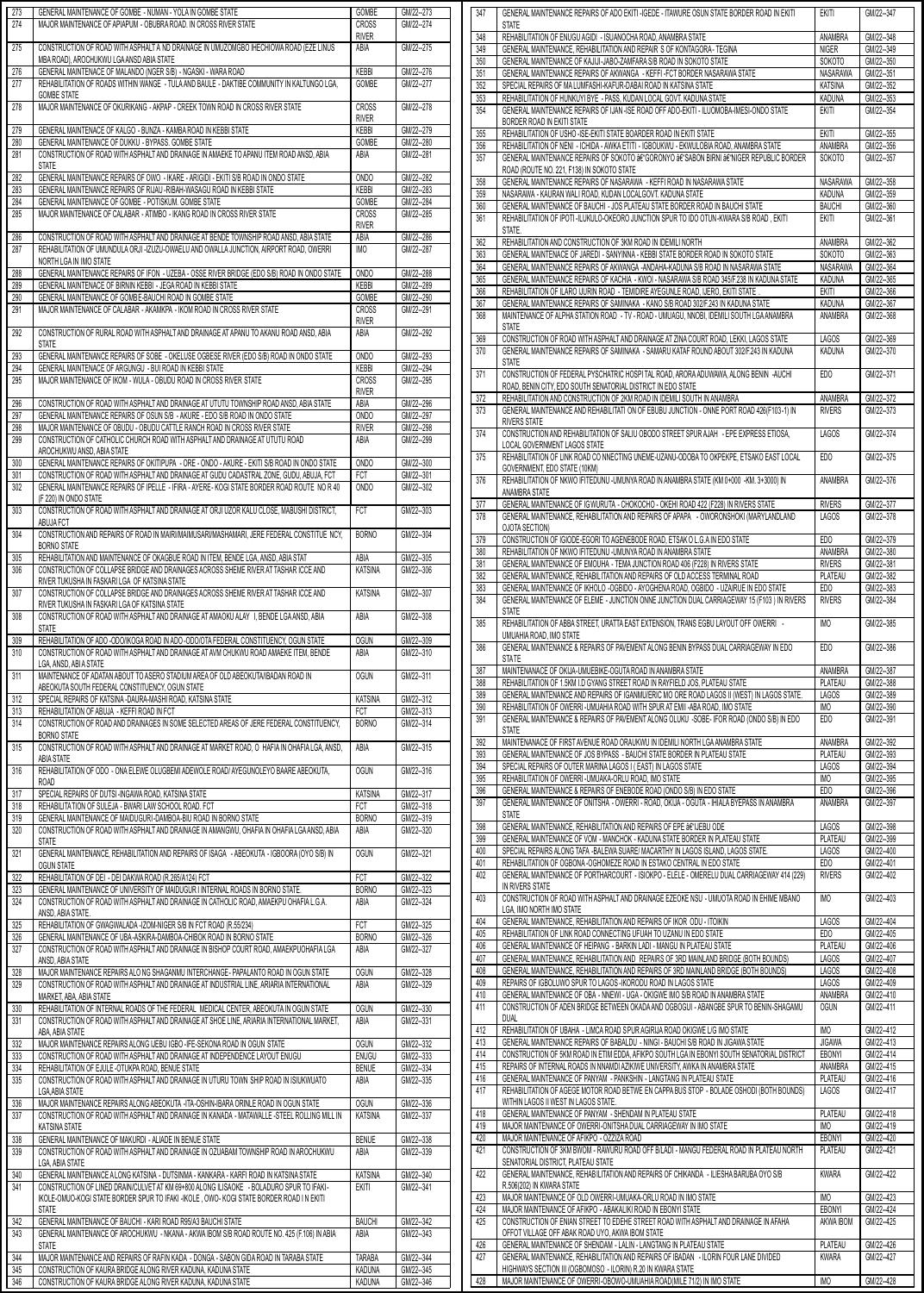| 273 | GENERAL MAINTENANCE OF GOMBE - NUMAN - YOLA IN GOMBE STATE                                   | GOMBE            | GM/22--273 |
|-----|----------------------------------------------------------------------------------------------|------------------|------------|
| 274 | MAJOR MAINTENANCE OF APIAPUM - OBUBRA ROAD. IN CROSS RIVER STATE                             | CROSS            | GM/22--274 |
|     |                                                                                              | <b>RIVER</b>     |            |
| 275 | CONSTRUCTION OF ROAD WITH ASPHALT A ND DRAINAGE IN UMUZOMGBO IHECHIOWA ROAD (EZE LINUS       | ABIA             | GM/22--275 |
|     |                                                                                              |                  |            |
|     | MBA ROAD), AROCHUKWU LGA ANSD ABIA STATE                                                     |                  |            |
| 276 | GENERAL MAINTENACE OF MALANDO (NGER S/B) - NGASKI - WARA ROAD                                | KEBBI            | GM/22--276 |
| 277 | REHABILITATION OF ROADS WITHIN WANGE - TULA AND BAULE - DAKTIBE COMMUNITY IN KALTUNGO LGA.   | GOMBE            | GM/22--277 |
|     | <b>GOMBE STATE</b>                                                                           |                  |            |
| 278 | MAJOR MAINTENANCE OF OKURIKANG - AKPAP - CREEK TOWN ROAD IN CROSS RIVER STATE                | <b>CROSS</b>     | GM/22--278 |
|     |                                                                                              | <b>RIVER</b>     |            |
| 279 | GENERAL MAINTENACE OF KALGO - BUNZA - KAMBA ROAD IN KEBBI STATE                              | <b>KEBBI</b>     | GM/22--279 |
| 280 | GENERAL MAINTENANCE OF DUKKU - BYPASS. GOMBE STATE                                           | GOMBE            | GM/22--280 |
| 281 | CONSTRUCTION OF ROAD WITH ASPHALT AND DRAINAGE IN AMAEKE TO APANU ITEM ROAD ANSD, ABIA       | ABIA             | GM/22--281 |
|     | <b>STATE</b>                                                                                 |                  |            |
| 282 | GENERAL MAINTENANCE REPAIRS OF OWO - IKARE - ARIGIDI - EKITI S/B ROAD IN ONDO STATE          | <b>ONDO</b>      | GM/22--282 |
| 283 | GENERAL MAINTENANCE REPAIRS OF RIJAU - RIBAH-WASAGU ROAD IN KEBBI STATE                      | KEBBI            | GM/22--283 |
| 284 | GENERAL MAINTENANCE OF GOMBE - POTISKUM. GOMBE STATE                                         | GOMBE            | GM/22--284 |
|     |                                                                                              |                  |            |
| 285 | MAJOR MAINTENANCE OF CALABAR - ATIMBO - IKANG ROAD IN CROSS RIVER STATE                      | <b>CROSS</b>     | GM/22--285 |
|     |                                                                                              | <b>RIVER</b>     |            |
| 286 | CONSTRUCTION OF ROAD WITH ASPHALT AND DRAINAGE AT BENDE TOWNSHIP ROAD ANSD, ABIA STATE       | ABIA             | GM/22--286 |
| 287 | REHABILITATION OF UMUNDULA ORJI -IZUZU-OWAELU AND OWALLA JUNCTION, AIRPORT ROAD, OWERRI      | <b>IMO</b>       | GM/22--287 |
|     | NORTH LGA IN IMO STATE                                                                       |                  |            |
| 288 | GENERAL MAINTENANCE REPAIRS OF IFON - UZEBA - OSSE RIVER BRIDGE (EDO S/B) ROAD IN ONDO STATE | OND <sub>O</sub> | GM/22--288 |
| 289 | GENERAL MAINTENACE OF BIRNIN KEBBI - JEGA ROAD IN KEBBI STATE                                | <b>KEBBI</b>     | GM/22--289 |
| 290 | GENERAL MAINTENANCE OF GOMBE-BAUCHI ROAD IN GOMBE STATE                                      | GOMBE            | GM/22--290 |
| 291 | MAJOR MAINTENANCE OF CALABAR - AKAMKPA - IKOM ROAD IN CROSS RIVER STATE                      | CROSS            | GM/22--291 |
|     |                                                                                              |                  |            |
|     |                                                                                              | <b>RIVER</b>     |            |
| 292 | CONSTRUCTION OF RURAL ROAD WITH ASPHALT AND DRAINAGE AT APANU TO AKANU ROAD ANSD, ABIA       | ABIA             | GM/22--292 |
|     | <b>STATE</b>                                                                                 |                  |            |
| 293 | GENERAL MAINTENANCE REPAIRS OF SOBE - OKELUSE OGBESE RIVER (EDO S/B) ROAD IN ONDO STATE      | <b>ONDO</b>      | GM/22--293 |
| 294 | GENERAL MAINTENACE OF ARGUNGU - BUI ROAD IN KEBBI STATE                                      | <b>KEBBI</b>     | GM/22--294 |
| 295 | MAJOR MAINTENANCE OF IKOM - WULA - OBUDU ROAD IN CROSS RIVER STATE                           | <b>CROSS</b>     | GM/22--295 |
|     |                                                                                              | <b>RIVER</b>     |            |
| 296 | CONSTRUCTION OF ROAD WITH ASPHALT AND DRAINAGE AT UTUTU TOWNSHIP ROAD ANSD, ABIA STATE       | ABIA             | GM/22--296 |
| 297 | GENERAL MAINTENANCE REPAIRS OF OSUN S/B - AKURE - EDO S/B ROAD IN ONDO STATE                 | ONDO             | GM/22--297 |
| 298 | MAJOR MAINTENANCE OF OBUDU - OBUDU CATTLE RANCH ROAD IN CROSS RIVER STATE                    | <b>RIVER</b>     | GM/22--298 |
|     |                                                                                              |                  |            |
| 299 | CONSTRUCTION OF CATHOLIC CHURCH ROAD WITH ASPHALT AND DRAINAGE AT UTUTU ROAD                 | ABIA             | GM/22--299 |
|     | AROCHUKWU ANSD, ABIA STATE                                                                   |                  |            |
| 300 | GENERAL MAINTENANCE REPAIRS OF OKITIPUPA - ORE - ONDO - AKURE - EKITI S/B ROAD IN ONDO STATE | <b>ONDO</b>      | GM/22--300 |
| 301 | CONSTRUCTION OF ROAD WITH ASPHALT AND DRAINAGE AT GUDU CADASTRAL ZONE, GUDU, ABUJA, FCT      | FCT              | GM/22--301 |
| 302 | GENERAL MAINTENANCE REPAIRS OF IPELLE - IFIRA - AYERE-KOGI STATE BORDER ROAD ROUTE NO R 40   | <b>ONDO</b>      | GM/22--302 |
|     | (F 220) IN ONDO STATE                                                                        |                  |            |
| 303 | CONSTRUCTION OF ROAD WITH ASPHALT AND DRAINAGE AT ORJI UZOR KALU CLOSE, MABUSHI DISTRICT,    | FCT              | GM/22--303 |
|     | ABUJA FCT                                                                                    |                  |            |
| 304 | CONSTRUCTION AND REPAIRS OF ROAD IN MAIRI/MAIMUSARI/MASHAMARI, JERE FEDERAL CONSTITUE NCY,   | <b>BORNO</b>     | GM/22--304 |
|     |                                                                                              |                  |            |
|     | <b>BORNO STATE</b>                                                                           |                  |            |
| 305 | REHABILITATION AND MAINTENANCE OF OKAGBUE ROAD IN ITEM, BENDE LGA, ANSD, ABIA STAT           | ABIA             | GM/22--305 |
| 306 | CONSTRUCTION OF COLLAPSE BRIDGE AND DRAINAGES ACROSS SHEME RIVER AT TASHAR ICCE AND          | <b>KATSINA</b>   | GM/22--306 |
|     | RIVER TUKUSHA IN FASKARI LGA OF KATSINA STATE                                                |                  |            |
| 307 | CONSTRUCTION OF COLLAPSE BRIDGE AND DRAINAGES ACROSS SHEME RIVER AT TASHAR ICCE AND          | <b>KATSINA</b>   | GM/22--307 |
|     | RIVER TUKUSHA IN FASKARI LGA OF KATSINA STATE                                                |                  |            |
| 308 | CONSTRUCTION OF ROAD WITH ASPHALT AND DRAINAGE AT AMAOKU ALAY I, BENDE LGA ANSD, ABIA        | ABIA             | GM/22--308 |
|     | <b>STATE</b>                                                                                 |                  |            |
| 309 | REHABILITATION OF ADO -ODO/IKOGA ROAD IN ADO -ODO/OTA FEDERAL CONSTITUENCY, OGUN STATE       | <b>OGUN</b>      | GM/22--309 |
|     |                                                                                              |                  |            |
|     |                                                                                              |                  |            |
| 310 | CONSTRUCTION OF ROAD WITH ASPHALT AND DRAINAGE AT AVM CHUKWU ROAD AMAEKE ITEM, BENDE         | ABIA             | GM/22--310 |
|     | LGA, ANSD, ABI A STATE                                                                       |                  |            |
| 311 | MAINTENANCE OF ADATAN ABOUT TO ASERO STADIUM AREA OF OLD ABEOKUTA/IBADAN ROAD IN             | <b>OGUN</b>      | GM/22--311 |
|     | ABEOKUTA SOUTH FEDERAL CONSTITUENCY, OGUN STATE                                              |                  |            |
| 312 | SPECIAL REPAIRS OF KATSINA -DAURA-MASHI ROAD, KATSINA STATE                                  | <b>KATSINA</b>   | GM/22--312 |
| 313 | REHABILITATION OF ABUJA - KEFFI ROAD IN FCT                                                  | FCT              | GM/22--313 |
| 314 | CONSTRUCTION OF ROAD AND DRAINAGES IN SOME SELECTED AREAS OF JERE FEDERAL CONSTITUENCY,      | <b>BORNO</b>     | GM/22--314 |
|     | <b>BORNO STATE</b>                                                                           |                  |            |
| 315 |                                                                                              | ABIA             | GM/22--315 |
|     | CONSTRUCTION OF ROAD WITH ASPHALT AND DRAINAGE AT MARKET ROAD, O HAFIA IN OHAFIA LGA, ANSD,  |                  |            |
|     | <b>ABIA STATE</b>                                                                            |                  |            |
| 316 | REHABILITATION OF ODO - ONA ELEWE OLUGBEMI ADEWOLE ROAD/ AYEGUNOLEYO BAARE ABEOKUTA,         | <b>OGUN</b>      | GM/22--316 |
|     | <b>ROAD</b>                                                                                  |                  |            |
| 317 | SPECIAL REPAIRS OF DUTSI-INGAWA ROAD, KATSINA STATE                                          | <b>KATSINA</b>   | GM/22--317 |
| 318 | REHABILITATION OF SULEJA - BWARI LAW SCHOOL ROAD. FCT                                        | FCT              | GM/22-318  |
| 319 | GENERAL MAINTENANCE OF MAIDUGURI-DAMBOA-BIU ROAD IN BORNO STATE                              | <b>BORNO</b>     | GM/22--319 |
| 320 | CONSTRUCTION OF ROAD WITH ASPHALT AND DRAINAGE IN AMANGWU, OHAFIA IN OHAFIA LGA ANSD, ABIA   | ABIA             | GM/22--320 |
|     | <b>STATE</b>                                                                                 |                  |            |
| 321 | GENERAL MAINTENANCE, REHABILITATION AND REPAIRS OF ISAGA - ABEOKUTA - IGBOORA (OYO S/B) IN   | <b>OGUN</b>      | GM/22--321 |
|     | OGUN STATE                                                                                   |                  |            |
| 322 | REHABILITATION OF DEI - DEI DAKWA ROAD (R.265/A124) FCT                                      | FCT              | GM/22--322 |
| 323 | GENERAL MAINTENANCE OF UNIVERSITY OF MAIDUGUR I INTERNAL ROADS IN BORNO STATE.               | <b>BORNO</b>     | GM/22--323 |
| 324 |                                                                                              |                  | GM/22--324 |
|     | CONSTRUCTION OF ROAD WITH ASPHALT AND DRAINAGE IN CATHOLIC ROAD, AMAEKPU OHAFIA L.G.A.       | ABIA             |            |
|     | ANSD, ABIA STATE.                                                                            |                  |            |
| 325 | REHABILITATION OF GWAGWALADA -IZOM-NIGER S/B IN FCT ROAD (R.55/234)                          | FCT              | GM/22--325 |
| 326 | GENERAL MAINTENANCE OF UBA-ASKIRA-DAMBOA-CHIBOK ROAD IN BORNO STATE                          | <b>BORNO</b>     | GM/22--326 |
| 327 | CONSTRUCTION OF ROAD WITH ASPHALT AND DRAINAGE IN BISHOP COURT ROAD, AMAEKPUOHAFIA LGA       | ABIA             | GM/22--327 |
|     | ANSD, ABIA STATE                                                                             |                  |            |
| 328 | MAJOR MAINTENANCE REPAIRS ALO NG SHAGANMU INTERCHANGE- PAPALANTO ROAD IN OGUN STATE          | <b>OGUN</b>      | GM/22--328 |
| 329 | CONSTRUCTION OF ROAD WITH ASPHALT AND DRAINAGE AT INDUSTRIAL LINE, ARIARIA INTERNATIONAL     | ABIA             | GM/22--329 |
|     | MARKET, ABA, ABIA STATE                                                                      |                  |            |
| 330 | REHABILITATION OF INTERNAL ROADS OF THE FEDERAL MEDICAL CENTER, ABEOKUTA IN OGUN STATE       | <b>OGUN</b>      | GM/22--330 |
| 331 | CONSTRUCTION OF ROAD WITH ASPHALT AND DRAINAGE AT SHOE LINE, ARIARIA INTERNATIONAL MARKET,   | ABIA             | GM/22--331 |
|     | ABA. ABIA STATE                                                                              |                  |            |
|     |                                                                                              |                  |            |
| 332 | MAJOR MAINTENANCE REPAIRS ALONG IJEBU IGBO - IFE-SEKONA ROAD IN OGUN STATE                   | <b>OGUN</b>      | GM/22--332 |
| 333 | CONSTRUCTION OF ROAD WITH ASPHALT AND DRAINAGE AT INDEPENDENCE LAYOUT ENUGU                  | <b>ENUGU</b>     | GM/22--333 |
| 334 | REHABILITATION OF EJULE - OTUKPA ROAD, BENUE STATE                                           | <b>BENUE</b>     | GM/22--334 |
| 335 | CONSTRUCTION OF ROAD WITH ASPHALT AND DRAINAGE IN UTURU TOWN SHIP ROAD IN ISIUKWUATO         | ABIA             | GM/22--335 |
|     | <b>LGA, ABIA STATE</b>                                                                       |                  |            |
| 336 | MAJOR MAINTENANCE REPAIRS ALONG ABEOKUTA - ITA-OSHIN-IBARA ORINLE ROAD IN OGUN STATE         | <b>OGUN</b>      | GM/22--336 |
| 337 | CONSTRUCTION OF ROAD WITH ASPHALT AND DRAINAGE IN KANADA - MATAWALLE -STEEL ROLLING MILL IN  | <b>KATSINA</b>   | GM/22--337 |
|     | <b>KATSINA STATE</b>                                                                         |                  |            |
|     | GENERAL MAINTENANCE OF MAKURDI - ALIADE IN BENUE STATE                                       |                  |            |
| 338 |                                                                                              | <b>BENUE</b>     | GM/22--338 |
| 339 | CONSTRUCTION OF ROAD WITH ASPHALT AND DRAINAGE IN OZUABAM TOWNSHIP ROAD IN AROCHUKWU         | ABIA             | GM/22--339 |
|     | LGA, ABIA STATE                                                                              |                  |            |
| 340 | GENERAL MAINTENANCE A LONG KATSINA - DUTSINMA - KANKARA - KARFI ROAD IN KATSINA STATE        | <b>KATSINA</b>   | GM/22--340 |
| 341 | CONSTRUCTION OF LINED DRAIN/CULVET AT KM 69+800 ALONG ILISAOKE - BOLADURO SPUR TO IFAKI-     | EKITI            | GM/22--341 |
|     | IKOLE-OMUO-KOGI STATE BORDER SPUR TO IFAKI -IKOLE, OWO-KOGI STATE BORDER ROAD I N EKITI      |                  |            |
|     | <b>STATE</b>                                                                                 |                  |            |
| 342 | GENERAL MAINTENANCE OF BAUCHI - KARI ROAD R95/A3 BAUCHI STATE                                | <b>BAUCHI</b>    | GM/22--342 |
| 343 | GENERAL MAINTENANCE OF AROCHUKWU - NKANA - AKWA IBOM S/B ROAD ROUTE NO. 425 (F.106) IN ABIA  | ABIA             | GM/22--343 |
|     | <b>STATE</b>                                                                                 |                  |            |
| 344 | MAJOR MAINTENANCE AND REPAIRS OF RAFIN KADA - DONGA - SABON GIDA ROAD IN TARABA STATE        | TARABA           | GM/22--344 |
| 345 | CONSTRUCTION OF KAURA BRIDGE ALONG RIVER KADUNA, KADUNA STATE                                | <b>KADUNA</b>    | GM/22--345 |
| 346 | CONSTRUCTION OF KAURA BRIDGE ALONG RIVER KADUNA, KADUNA STATE                                | <b>KADUNA</b>    | GM/22--346 |

|                                                                                                                            | <b>STATE</b>                                                                                                                                                  |                          |                        |
|----------------------------------------------------------------------------------------------------------------------------|---------------------------------------------------------------------------------------------------------------------------------------------------------------|--------------------------|------------------------|
| 348                                                                                                                        | REHABILITATION OF ENUGU AGIDI - ISUANOCHA ROAD, ANAMBRA STATE                                                                                                 | ANAMBRA                  | GM/22--348             |
| 349                                                                                                                        | GENERAL MAINTENANCE, REHABILITATION AND REPAIR S OF KONTAGORA- TEGINA                                                                                         | <b>NIGER</b>             | GM/22--349             |
| 350                                                                                                                        | GENERAL MAINTENANCE OF KAJIJI-JABO-ZAMFARA S/B ROAD IN SOKOTO STATE                                                                                           | <b>SOKOTO</b>            | GM/22--350             |
| 351                                                                                                                        | GENERAL MAINTENANCE REPAIRS OF AKWANGA - KEFFI - FCT BORDER NASARAWA STATE                                                                                    | <b>NASARAWA</b>          | GM/22--351             |
| 352                                                                                                                        | SPECIAL REPAIRS OF MALUMFASHI-KAFUR-DABAI ROAD IN KATSINA STATE                                                                                               | <b>KATSINA</b>           | GM/22--352             |
| 353                                                                                                                        | REHABILITATION OF HUNKUYI BYE - PASS, KUDAN LOCAL GOVT. KADUNA STATE                                                                                          | <b>KADUNA</b>            | GM/22--353             |
| 354                                                                                                                        | GENERAL MAINTENANCE REPAIRS OF IJAN -ISE ROAD OFF ADO-EKITI - ILUOMOBA-IMESI-ONDO STATE                                                                       | ekiti                    | GM/22--354             |
|                                                                                                                            | BORDER ROAD IN EKITI STATE                                                                                                                                    |                          |                        |
| 355                                                                                                                        | REHABILITATION OF USHO-ISE-EKITI STATE BOARDER ROAD IN EKITI STATE<br>REHABILITATION OF NENI - ICHIDA - AWKA ETITI - IGBOUKWU - EKWULOBIA ROAD, ANAMBRA STATE | <b>EKITI</b>             | GM/22--355             |
| 356                                                                                                                        |                                                                                                                                                               | ANAMBRA                  | GM/22--356             |
| 357                                                                                                                        | GENERAL MAINTENANCE REPAIRS OF SOKOTO â€"GORONYO â€"SABON BIRNI â€"NIGER REPUBLIC BORDER<br>ROAD (ROUTE NO. 221, F138) IN SOKOTO STATE                        | SOKOTO                   | GM/22--357             |
| 358                                                                                                                        | GENERAL MAINTENANCE REPAIRS OF NASARAWA - KEFFI ROAD IN NASARAWA STATE                                                                                        | NASARAWA                 | GM/22--358             |
| 359                                                                                                                        | NASARAWA - KAURAN WALI ROAD, KUDAN LOCALGOVT. KADUNA STATE                                                                                                    | <b>KADUNA</b>            | GM/22--359             |
| 360                                                                                                                        | GENERAL MAINTENANCE OF BAUCHI - JOS PLATEAU STATE BORDER ROAD IN BAUCHI STATE                                                                                 | <b>BAUCHI</b>            | GM/22--360             |
| 361                                                                                                                        | REHABILITATION OF IPOTI-ILUKULO-OKEORO JUNCTION SPUR TO IDO OTUN-KWARA S/B ROAD, EKITI                                                                        | Ekiti                    | GM/22--361             |
|                                                                                                                            | STATE.                                                                                                                                                        |                          |                        |
| 362                                                                                                                        | REHABILITATION AND CONSTRUCTION OF 3KM ROAD IN IDEMILI NORTH                                                                                                  | ANAMBRA                  | GM/22--362             |
| 363                                                                                                                        | GENERAL MAINTENACE OF JAREDI - SANYINNA - KEBBI STATE BORDER ROAD IN SOKOTO STATE                                                                             | <b>SOKOTO</b>            | GM/22--363             |
| 364                                                                                                                        | GENERAL MAINTENANCE REPAIRS OF AKWANGA -ANDAHA-KADUNA S/B ROAD IN NASARAWA STATE                                                                              | NASARAWA                 | GM/22-364              |
| 365                                                                                                                        | GENERAL MAINTENANCE REPAIRS OF KACHIA - KWOI - NASARAWA S/B ROAD 345/F.238 IN KADUNA STATE                                                                    | KADUNA                   | GM/22-365              |
| 366                                                                                                                        | REHABILITATION OF ILARO IJURIN ROAD - TEMIDIRE AYEGUNLE ROAD, IJERO, EKITI STATE .                                                                            | EKITI                    | GM/22-366              |
| 367                                                                                                                        | GENERAL MAINTENANCE REPAIRS OF SAMINAKA - KANO S/B ROAD 302/F.243 IN KADUNA STATE                                                                             | <b>KADUNA</b>            | GM/22-367              |
| 368                                                                                                                        | MAINTENANCE OF ALPHA STATION ROAD - TV - ROAD - UMUAGU, NNOBI, IDEMILI SOUTH LGA ANAMBRA                                                                      | ANAMBRA                  | GM/22-368              |
|                                                                                                                            | <b>STATE</b>                                                                                                                                                  |                          |                        |
| 369                                                                                                                        | CONSTRUCTION OF ROAD WITH ASPHALT AND DRAINAGE AT ZINA COURT ROAD. LEKKI, LAGOS STATE                                                                         | <b>LAGOS</b>             | GM/22-369              |
| 370                                                                                                                        | GENERAL MAINTENANCE REPAIRS OF SAMINAKA - SAMARU KATAF ROUND ABOUT 302/F.243 IN KADUNA                                                                        | <b>KADUNA</b>            | GM/22-370              |
|                                                                                                                            | <b>STATE</b>                                                                                                                                                  |                          |                        |
| 371                                                                                                                        | CONSTRUCTION OF FEDERAL PYSCHATRIC HOSPITAL ROAD, ARORA ADUWAWA, ALONG BENIN -AUCHI                                                                           | EDO                      | GM/22-371              |
|                                                                                                                            | ROAD, BENIN CITY, EDO SOUTH SENATORIAL DISTRICT IN EDO STATE                                                                                                  |                          |                        |
| 372                                                                                                                        | REHABILITATION AND CONSTRUCTION OF 2KM ROAD IN IDEMILI SOUTH IN ANAMBRA                                                                                       | ANAMBRA                  | GM/22-372              |
| 373                                                                                                                        | GENERAL MAINTENANCE AND REHABILITATI ON OF EBUBU JUNCTION - ONNE PORT ROAD 426(F103-1) IN                                                                     | <b>RIVERS</b>            | GM/22-373              |
|                                                                                                                            | <b>RIVERS STATE</b>                                                                                                                                           |                          |                        |
| 374                                                                                                                        | CONSTRUCTION AND REHABILITATION OF SALIU OBODO STREET SPUR AJAH - EPE EXPRESS ETIOSA,                                                                         | <b>LAGOS</b>             | GM/22-374              |
|                                                                                                                            | LOCAL GOVERNMENT LAGOS STATE                                                                                                                                  |                          |                        |
| 375                                                                                                                        | REHABILITATION OF LINK ROAD CO NNECTING UNEME-UZANU-ODOBA TO OKPEKPE, ETSAKO EAST LOCAL                                                                       | ED <sub>0</sub>          | GM/22-375              |
|                                                                                                                            | GOVERNMENT, EDO STATE (10KM)                                                                                                                                  |                          |                        |
| 376                                                                                                                        | REHABILITATION OF NKWO IFITEDUNU -UMUNYA ROAD IN ANAMBRA STATE (KM 0+000 -KM. 3+3000) IN                                                                      | ANAMBRA                  | GM/22-376              |
|                                                                                                                            | ANAMBRA STATE                                                                                                                                                 |                          |                        |
| 377                                                                                                                        | GENERAL MAINTENANCE OF IGWURUTA - CHOKOCHO - OKEHI ROAD 422 (F228) IN RIVERS STATE                                                                            | <b>RIVERS</b>            | GM/22-377              |
| 378                                                                                                                        | GENERAL MAINTENANCE, REHABILITATION AND REPAIRS OF APAPA - OWORONSHOKI (MARYLANDLAND                                                                          | LAGOS                    | GM/22-378              |
|                                                                                                                            | OJOTA SECTION)                                                                                                                                                |                          |                        |
| 379                                                                                                                        | CONSTRUCTION OF IGIODE-EGORI TO AGENEBODE ROAD, ETSAK O L.G.A IN EDO STATE                                                                                    | ED <sub>0</sub>          | GM/22-379              |
| 380                                                                                                                        | REHABILITATION OF NKWO IFITEDUNU - UMUNYA ROAD IN ANAMBRA STATE                                                                                               | ANAMBRA                  | GM/22-380              |
| 381                                                                                                                        | GENERAL MAINTENANCE OF EMOUHA - TEMA JUNCTION ROAD 406 (F228) IN RIVERS STATE                                                                                 | <b>RIVERS</b>            | GM/22-381              |
| 382                                                                                                                        | GENERAL MAINTENANCE, REHABILITATION AND REPAIRS OF OLD ACCESS TERMINAL ROAD                                                                                   | PLATEAU                  | GM/22-382              |
| 383                                                                                                                        | GENERAL MAINTENANCE OF IKHOLO - OGBIDO - AYOGHENA ROAD, OGBIDO - UZAIRUE IN EDO STATE                                                                         | ED <sub>0</sub>          | GM/22-383              |
|                                                                                                                            |                                                                                                                                                               |                          |                        |
| 384                                                                                                                        | GENERAL MAINTENANCE OF ELEME - JUNCTION ONNE JUNCTION DUAL CARRIAGEWAY 15 (F103 ) IN RIVERS<br><b>STATE</b>                                                   | <b>RIVERS</b>            | GM/22-384              |
| 385                                                                                                                        | REHABILITATION OF ABBA STREET, URATTA EAST EXTENSION, TRANS EGBU LAYOUT OFF OWERRI-                                                                           | <b>IMO</b>               | GM/22-385              |
|                                                                                                                            | UMUAHIA ROAD. IMO STATE                                                                                                                                       |                          |                        |
|                                                                                                                            | GENERAL MAINTENANCE & REPAIRS OF PAVEMENT ALONG BENIN BYPASS DUAL CARRIAGEWAY IN EDO                                                                          |                          | GM/22-386              |
| 386                                                                                                                        | <b>STATE</b>                                                                                                                                                  | ED <sub>0</sub>          |                        |
|                                                                                                                            |                                                                                                                                                               |                          |                        |
|                                                                                                                            |                                                                                                                                                               |                          |                        |
| 387                                                                                                                        | MAINTENANACE OF OKIJA-UMUEBIKE-OGUTA ROAD IN ANAMBRA STATE                                                                                                    | ANAMBRA                  | GM/22-387              |
| 388                                                                                                                        | REHABILITATION OF 1.5KM I.D GYANG STREET ROAD IN RAYFIELD JOS, PLATEAU STATE                                                                                  | PLATEAU                  | GM/22-388              |
|                                                                                                                            | GENERAL MAINTENANCE AND REPAIRS OF IGANMU/ERIC MO ORE ROAD LAGOS II (WEST) IN LAGOS STATE.                                                                    | <b>LAGOS</b>             | GM/22-389              |
| 390                                                                                                                        | REHABILITATION OF OWERRI-UMUAHIA ROAD WITH SPUR AT EMII -ABA ROAD, IMO STATE                                                                                  | IMO                      | GM/22-390              |
| 391                                                                                                                        | GENERAL MAINTENANCE & REPAIRS OF PAVEMENT ALONG OLUKU -SOBE- IFOR ROAD (ONDO S/B) IN EDO                                                                      | ED <sub>0</sub>          | GM/22-391              |
|                                                                                                                            | <b>STATE</b>                                                                                                                                                  |                          |                        |
| 392                                                                                                                        | MAINTENANACE OF FIRST AVENUE ROAD ORAUKWU IN IDEMILI NORTH LGA ANAMBRA STATE                                                                                  | ANAMBRA                  | GM/22-392              |
|                                                                                                                            | GENERAL MAINTENANCE OF JOS BYPASS - BAUCHI STATE BORDER IN PLATEAU STATE                                                                                      | PLATEAU                  | GM/22-393              |
| 393<br>394                                                                                                                 | SPECIAL REPAIRS OF OUTER MARINA LAGOS I (EAST) IN LAGOS STATE                                                                                                 | <b>LAGOS</b>             | GM/22-394              |
| 395                                                                                                                        | REHABILITATION OF OWERRI-UMUAKA-ORLU ROAD, IMO STATE                                                                                                          | <b>IMO</b>               | GM/22-395              |
|                                                                                                                            | GENERAL MAINTENANCE & REPAIRS OF ENEBODE ROAD (ONDO S/B) IN EDO STATE                                                                                         | ED <sub>O</sub>          | GM/22-396              |
|                                                                                                                            | GENERAL MAINTENANCE OF ONITSHA - OWERRI - ROAD, OKIJA - OGUTA - IHIALA BYEPASS IN ANAMBRA                                                                     | ANAMBRA                  | GM/22-397              |
|                                                                                                                            | <b>STATE</b>                                                                                                                                                  |                          |                        |
| 398                                                                                                                        | GENERAL MAINTENANCE, REHABILITATION AND REPAIRS OF EPE â€"IJEBU ODE                                                                                           | <b>LAGOS</b>             | GM/22-398              |
| 399                                                                                                                        | GENERAL MAINTENANCE OF VOM - MANCHOK - KADUNA STATE BORDER IN PLATEAU STATE                                                                                   | PLATEAU                  | GM/22-399              |
|                                                                                                                            | SPECIAL REPAIRS ALONG TAFA - BALEWA SUARE/ MACARTHY IN LAGOS ISLAND, LAGOS STATE.                                                                             | <b>LAGOS</b>             | GM/22-400              |
| 401                                                                                                                        | REHABILITATION OF OGBONA - OGHOMEZE ROAD IN ESTAKO CENTRAL IN EDO STATE                                                                                       | ED <sub>0</sub>          | GM/22-401              |
|                                                                                                                            | GENERAL MAINTENANCE OF PORTHARCOURT - ISIOKPO - ELELE - OMERELU DUAL CARRIAGEWAY 414 (229)                                                                    | <b>RIVERS</b>            | GM/22-402              |
|                                                                                                                            | IN RIVERS STATE                                                                                                                                               |                          |                        |
|                                                                                                                            | CONSTRUCTION OF ROAD WITH ASPHALT AND DRAINAGE EZEOKE NSU - UMUOTA ROAD IN EHIME MBANO                                                                        | <b>IMO</b>               | GM/22-403              |
|                                                                                                                            | LGA, IMO NORTH IMO STATE                                                                                                                                      |                          |                        |
|                                                                                                                            | GENERAL MAINTENANCE, REHABILITATION AND REPAIRS OF IKOR ODU - ITOIKIN                                                                                         | <b>LAGOS</b>             | GM/22-404              |
|                                                                                                                            | REHABILITATION OF LINK ROAD CONNECTING UFUAH TO UZANU IN EDO STATE                                                                                            | EDO                      | GM/22-405              |
|                                                                                                                            | GENERAL MAINTENANCE OF HEIPANG - BARKIN LADI - MANGU IN PLATEAU STATE                                                                                         | PLATEAU                  | GM/22-406              |
|                                                                                                                            | GENERAL MAINTENANCE, REHABILITATION AND REPAIRS OF 3RD MAINLAND BRIDGE (BOTH BOUNDS)                                                                          | <b>LAGOS</b>             | GM/22-407              |
| 405<br>406<br>408<br>409                                                                                                   | GENERAL MAINTENANCE, REHABILITATION AND REPAIRS OF 3RD MAINLAND BRIDGE (BOTH BOUNDS)                                                                          | LAGOS                    | GM/22-408              |
|                                                                                                                            | REPAIRS OF IGBOLUWO SPUR TO LAGOS-IKORODU ROAD IN LAGOS STATE                                                                                                 | <b>LAGOS</b>             | GM/22-409              |
|                                                                                                                            | GENERAL MAINTENANCE OF OBA - NNEWI - UGA - OKIGWE IMO S/B ROAD IN ANAMBRA STATE                                                                               | ANAMBRA<br><b>OGUN</b>   | GM/22-410              |
|                                                                                                                            | CONSTRUCTION OF ADEN BRIDGE BETWEEN OKADA AND OGBOGUI - ABANGBE SPUR TO BENIN-SHAGAMU<br><b>DUAL</b>                                                          |                          | GM/22-411              |
|                                                                                                                            | REHABILITATION OF UBAHA - LIMCA ROAD SPUR AGIRIJA ROAD OKIGWE L/G IMO STATE                                                                                   | <b>IMO</b>               | GM/22-412              |
|                                                                                                                            | GENERAL MAINTENANCE REPAIRS OF BABALDU - NINGI - BAUCHI S/B ROAD IN JIGAWA STATE                                                                              | <b>JIGAWA</b>            | GM/22-413              |
|                                                                                                                            |                                                                                                                                                               |                          |                        |
|                                                                                                                            | CONSTRUCTION OF 5KM ROAD IN ETIM EDDA, AFIKPO SOUTH LGA IN EBONYI SOUTH SENATORIAL DISTRICT                                                                   | EBONYI                   | GM/22-414              |
|                                                                                                                            | REPAIRS OF INTERNAL ROADS IN NNAMDI AZIKIWE UNIVERSITY, AWKA IN ANAMBRA STATE                                                                                 | ANAMBRA<br>PLATEAU       | GM/22-415<br>GM/22-416 |
|                                                                                                                            | GENERAL MAINTENANCE OF PANYAM - PANKSHIN - LANGTANG IN PLATEAU STATE                                                                                          | LAGOS                    | GM/22-417              |
|                                                                                                                            | REHABILITATION OF AGEGE MOTOR ROAD BETWE EN CAPPA BUS STOP - BOLADE OSHODI (BOTH BOUNDS)                                                                      |                          |                        |
|                                                                                                                            | WITHIN LAGOS II WEST IN LAGOS STATE.<br>GENERAL MAINTENANCE OF PANYAM - SHENDAM IN PLATEAU STATE                                                              | PLATEAU                  | GM/22-418              |
|                                                                                                                            |                                                                                                                                                               | <b>IMO</b>               | GM/22-419              |
|                                                                                                                            | MAJOR MAINTENANCE OF OWERRI-ONITSHA DUAL CARRIAGEWAY IN IMO STATE                                                                                             |                          | GM/22-420              |
|                                                                                                                            | MAJOR MAINTENANCE OF AFIKPO - OZZIZA ROAD<br>CONSTRUCTION OF 3KM BWOM - RAWURU ROAD OFF B/LADI - MANGU FEDERAL ROAD IN PLATEAU NORTH                          | <b>EBONYI</b><br>PLATEAU |                        |
|                                                                                                                            | SENATORIAL DISTRICT. PLATEAU STATE                                                                                                                            |                          | GM/22-421              |
| 410<br>415<br>416                                                                                                          |                                                                                                                                                               |                          |                        |
|                                                                                                                            | GENERAL MAINTENANCE, REHABILITATION AND REPAIRS OF CHIKANDA - ILIESHA BARUBA OYO S/B                                                                          | <b>KWARA</b>             | GM/22-422              |
| 422                                                                                                                        | R.506(202) IN KWARA STATE                                                                                                                                     |                          |                        |
| 389<br>396<br>397<br>400<br>402<br>403<br>404<br>407<br>411<br>412<br>413<br>414<br>417<br>418<br>419<br>420<br>421<br>423 | MAJOR MAINTENANCE OF OLD OWERRI-UMUAKA-ORLU ROAD IN IMO STATE                                                                                                 | IMO                      | GM/22-423              |
| 424                                                                                                                        | MAJOR MAINTENANCE OF AFIKPO - ABAKALIKI ROAD IN EBONYI STATE                                                                                                  | <b>EBONYI</b>            | GM/22-424              |
| 425                                                                                                                        | CONSTRUCTION OF ENIAN STREET TO EDEHE STREET ROAD WITH ASPHALT AND DRAINAGE IN AFAHA                                                                          | <b>AKWA IBOM</b>         | GM/22-425              |
|                                                                                                                            | OFFOT VILLAGE OFF ABAK ROAD UYO, AKWA IBOM STATE                                                                                                              |                          |                        |
|                                                                                                                            | GENERAL MAINTENANCE OF SHENDAM - LALIN - LANGTANG IN PLATEAU STATE                                                                                            | PLATEAU<br><b>KWARA</b>  | GM/22-426              |
| 426<br>427                                                                                                                 | GENERAL MAINTENANCE, REHABILITATION AND REPAIRS OF IBADAN - ILORIN FOUR LANE DIVIDED                                                                          |                          | GM/22-427              |
| 428                                                                                                                        | HIGHWAYS SECTION III (OGBOMOSO - ILORIN) R.20 IN KWARA STATE<br>MAJOR MAINTENANCE OF OWERRI-OBOWO-UMUAHIA ROAD(MILE 71/2) IN IMO STATE                        | <b>IMO</b>               | GM/22-428              |

347 GENERAL MAINTENANCE REPAIRS OF ADO EKITI -IGEDE - ITAWURE OSUN STATE BORDER ROAD IN EKITI

EKITI GM/22--347